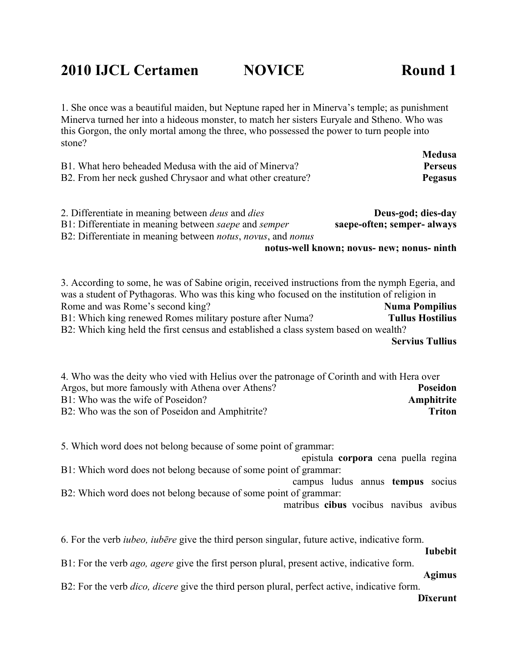1. She once was a beautiful maiden, but Neptune raped her in Minerva's temple; as punishment Minerva turned her into a hideous monster, to match her sisters Euryale and Stheno. Who was this Gorgon, the only mortal among the three, who possessed the power to turn people into stone?

|                                                            | Medusa         |
|------------------------------------------------------------|----------------|
| B1. What hero beheaded Medusa with the aid of Minerva?     | <b>Perseus</b> |
| B2. From her neck gushed Chrysaor and what other creature? | Pegasus        |

| 2. Differentiate in meaning between <i>deus</i> and <i>dies</i>                     | Deus-god; dies-day                         |
|-------------------------------------------------------------------------------------|--------------------------------------------|
| B1: Differentiate in meaning between <i>saepe</i> and <i>semper</i>                 | saepe-often; semper- always                |
| B2: Differentiate in meaning between <i>notus</i> , <i>novus</i> , and <i>nonus</i> |                                            |
|                                                                                     | notus-well known; novus- new; nonus- ninth |

3. According to some, he was of Sabine origin, received instructions from the nymph Egeria, and was a student of Pythagoras. Who was this king who focused on the institution of religion in Rome and was Rome's second king? **Numa Pompilius** B1: Which king renewed Romes military posture after Numa? **Tullus Hostilius** B2: Which king held the first census and established a class system based on wealth? **Servius Tullius**

| 4. Who was the deity who vied with Helius over the patronage of Corinth and with Hera over |               |
|--------------------------------------------------------------------------------------------|---------------|
| Argos, but more famously with Athena over Athens?                                          | Poseidon      |
| B1: Who was the wife of Poseidon?                                                          | Amphitrite    |
| B2: Who was the son of Poseidon and Amphitrite?                                            | <b>Triton</b> |

5. Which word does not belong because of some point of grammar:

epistula **corpora** cena puella regina B1: Which word does not belong because of some point of grammar:

campus ludus annus **tempus** socius B2: Which word does not belong because of some point of grammar:

matribus **cibus** vocibus navibus avibus

6. For the verb *iubeo, iubēre* give the third person singular, future active, indicative form.

#### **Iubebit**

B1: For the verb *ago, agere* give the first person plural, present active, indicative form.

**Agimus**

B2: For the verb *dico, dicere* give the third person plural, perfect active, indicative form.

#### **Dīxerunt**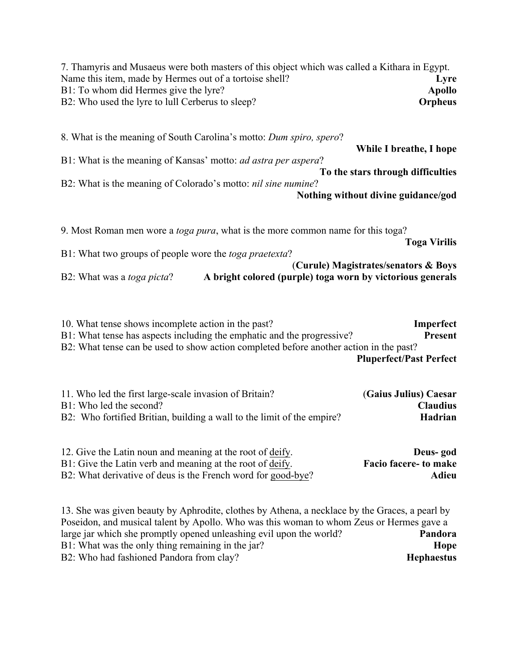7. Thamyris and Musaeus were both masters of this object which was called a Kithara in Egypt. Name this item, made by Hermes out of a tortoise shell? **Lyre** B1: To whom did Hermes give the lyre? **Apollo** B2: Who used the lyre to lull Cerberus to sleep? **Orpheus**

8. What is the meaning of South Carolina's motto: *Dum spiro, spero*? **While I breathe, I hope** B1: What is the meaning of Kansas' motto: *ad astra per aspera*? **To the stars through difficulties** B2: What is the meaning of Colorado's motto: *nil sine numine*?

**Nothing without divine guidance/god**

9. Most Roman men wore a *toga pura*, what is the more common name for this toga? **Toga Virilis** B1: What two groups of people wore the *toga praetexta*? (**Curule) Magistrates/senators & Boys**

B2: What was a *toga picta*? **A bright colored (purple) toga worn by victorious generals**

10. What tense shows incomplete action in the past? **Imperfect** B1: What tense has aspects including the emphatic and the progressive? **Present** B2: What tense can be used to show action completed before another action in the past?

**Pluperfect/Past Perfect**

| 11. Who led the first large-scale invasion of Britain?                 | (Gaius Julius) Caesar |
|------------------------------------------------------------------------|-----------------------|
| B1: Who led the second?                                                | <b>Claudius</b>       |
| B2: Who fortified Britian, building a wall to the limit of the empire? | Hadrian               |

| 12. Give the Latin noun and meaning at the root of deify.    | Deus-god              |
|--------------------------------------------------------------|-----------------------|
| B1: Give the Latin verb and meaning at the root of deify.    | Facio facere- to make |
| B2: What derivative of deus is the French word for good-bye? | Adieu                 |

13. She was given beauty by Aphrodite, clothes by Athena, a necklace by the Graces, a pearl by Poseidon, and musical talent by Apollo. Who was this woman to whom Zeus or Hermes gave a large jar which she promptly opened unleashing evil upon the world? **Pandora** B1: What was the only thing remaining in the jar? **Hope** B2: Who had fashioned Pandora from clay? **Hephaestus**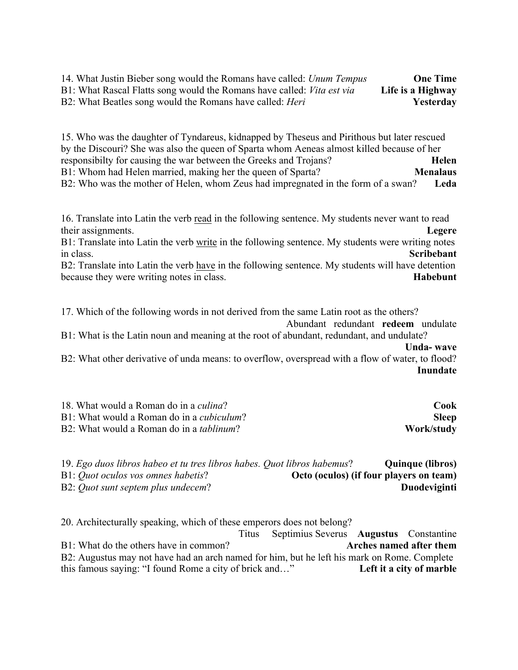| 14. What Justin Bieber song would the Romans have called: <i>Unum Tempus</i>  | <b>One Time</b>   |
|-------------------------------------------------------------------------------|-------------------|
| B1: What Rascal Flatts song would the Romans have called: <i>Vita est via</i> | Life is a Highway |
| B2: What Beatles song would the Romans have called: <i>Heri</i>               | Yesterday         |

15. Who was the daughter of Tyndareus, kidnapped by Theseus and Pirithous but later rescued by the Discouri? She was also the queen of Sparta whom Aeneas almost killed because of her responsibilty for causing the war between the Greeks and Trojans? **Helen** B1: Whom had Helen married, making her the queen of Sparta? **Menalaus** B2: Who was the mother of Helen, whom Zeus had impregnated in the form of a swan? **Leda**

16. Translate into Latin the verb read in the following sentence. My students never want to read their assignments. **Legere**

B1: Translate into Latin the verb write in the following sentence. My students were writing notes in class. **Scribebant**

B2: Translate into Latin the verb have in the following sentence. My students will have detention because they were writing notes in class. **Habebunt** 

17. Which of the following words in not derived from the same Latin root as the others?

Abundant redundant **redeem** undulate B1: What is the Latin noun and meaning at the root of abundant, redundant, and undulate? **Unda- wave**

B2: What other derivative of unda means: to overflow, overspread with a flow of water, to flood? **Inundate**

| 18. What would a Roman do in a <i>culina</i> ?    | Cook         |
|---------------------------------------------------|--------------|
| B1: What would a Roman do in a <i>cubiculum</i> ? | <b>Sleep</b> |
| B2: What would a Roman do in a <i>tablinum</i> ?  | Work/study   |

| 19. Ego duos libros habeo et tu tres libros habes. Quot libros habemus? |                                         | <b>Quinque (libros)</b> |
|-------------------------------------------------------------------------|-----------------------------------------|-------------------------|
| B1: Quot oculos vos omnes habetis?                                      | Octo (oculos) (if four players on team) |                         |
| B2: Quot sunt septem plus undecem?                                      |                                         | Duodeviginti            |

20. Architecturally speaking, which of these emperors does not belong?

Titus Septimius Severus **Augustus** Constantine B1: What do the others have in common? **Arches named after them** B2: Augustus may not have had an arch named for him, but he left his mark on Rome. Complete this famous saying: "I found Rome a city of brick and…" **Left it a city of marble**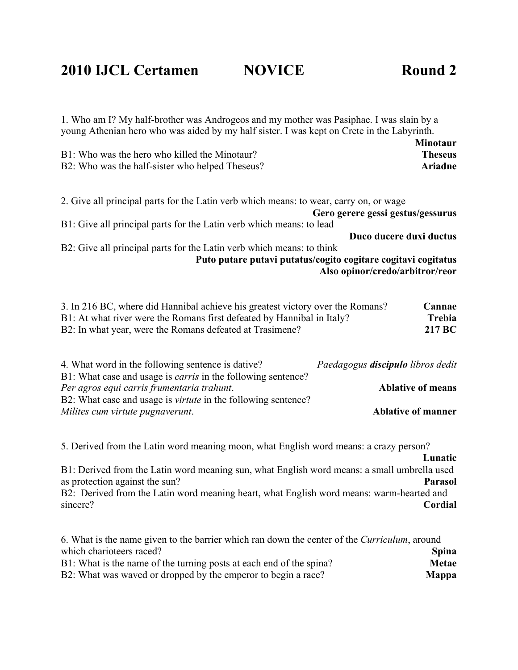### **2010 IJCL Certamen NOVICE Round 2**

| young Athenian hero who was aided by my half sister. I was kept on Crete in the Labyrinth.                                                                                                                           |                                          |                                              |
|----------------------------------------------------------------------------------------------------------------------------------------------------------------------------------------------------------------------|------------------------------------------|----------------------------------------------|
| B1: Who was the hero who killed the Minotaur?<br>B2: Who was the half-sister who helped Theseus?                                                                                                                     |                                          | <b>Minotaur</b><br><b>Theseus</b><br>Ariadne |
| 2. Give all principal parts for the Latin verb which means: to wear, carry on, or wage                                                                                                                               | Gero gerere gessi gestus/gessurus        |                                              |
| B1: Give all principal parts for the Latin verb which means: to lead                                                                                                                                                 |                                          |                                              |
|                                                                                                                                                                                                                      | Duco ducere duxi ductus                  |                                              |
| B2: Give all principal parts for the Latin verb which means: to think<br>Puto putare putavi putatus/cogito cogitare cogitavi cogitatus                                                                               | Also opinor/credo/arbitror/reor          |                                              |
| 3. In 216 BC, where did Hannibal achieve his greatest victory over the Romans?<br>B1: At what river were the Romans first defeated by Hannibal in Italy?<br>B2: In what year, were the Romans defeated at Trasimene? |                                          | Cannae<br>Trebia<br>217 BC                   |
| 4. What word in the following sentence is dative?                                                                                                                                                                    | Paedagogus <b>discipulo</b> libros dedit |                                              |

1. Who am I? My half-brother was Androgeos and my mother was Pasiphae. I was slain by a

| 4. What word in the following sentence is dative?                    | Paedagogus discipulo libros dedit |
|----------------------------------------------------------------------|-----------------------------------|
| B1: What case and usage is <i>carris</i> in the following sentence?  |                                   |
| Per agros equi carris frumentaria trahunt.                           | <b>Ablative of means</b>          |
| B2: What case and usage is <i>virtute</i> in the following sentence? |                                   |
| Milites cum virtute pugnaverunt.                                     | <b>Ablative of manner</b>         |

5. Derived from the Latin word meaning moon, what English word means: a crazy person? **Lunatic** B1: Derived from the Latin word meaning sun, what English word means: a small umbrella used as protection against the sun? **Parasol** B<sub>2</sub>: Derived from the Latin word meaning heart, what English word means: warm-hearted and sincere? **Cordial** 

| 6. What is the name given to the barrier which ran down the center of the <i>Curriculum</i> , around |              |
|------------------------------------------------------------------------------------------------------|--------------|
| which charioteers raced?                                                                             | <b>Spina</b> |
| B1: What is the name of the turning posts at each end of the spina?                                  | Metae        |
| B2: What was waved or dropped by the emperor to begin a race?                                        | <b>Mappa</b> |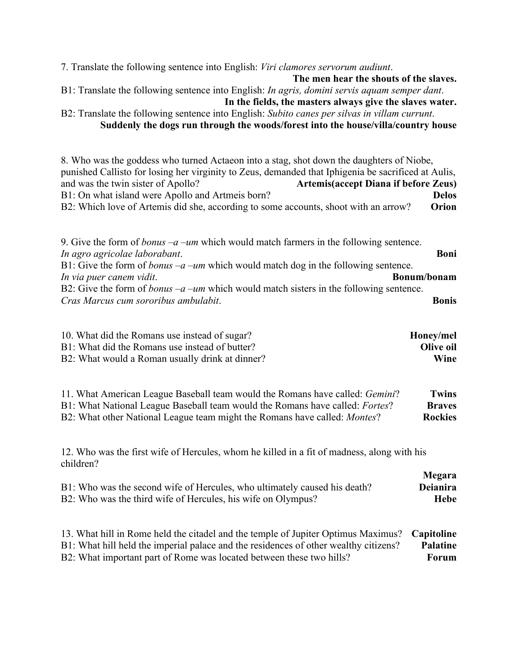7. Translate the following sentence into English: *Viri clamores servorum audiunt*.

**The men hear the shouts of the slaves.**

**Megara**

B1: Translate the following sentence into English: *In agris, domini servis aquam semper dant*. **In the fields, the masters always give the slaves water.**

B2: Translate the following sentence into English: *Subito canes per silvas in villam currunt*. **Suddenly the dogs run through the woods/forest into the house/villa/country house**

8. Who was the goddess who turned Actaeon into a stag, shot down the daughters of Niobe, punished Callisto for losing her virginity to Zeus, demanded that Iphigenia be sacrificed at Aulis, and was the twin sister of Apollo? **Artemis(accept Diana if before Zeus)** B1: On what island were Apollo and Artmeis born? **Delos** B2: Which love of Artemis did she, according to some accounts, shoot with an arrow? **Orion**

9. Give the form of *bonus –a –um* which would match farmers in the following sentence. *In agro agricolae laborabant*. **Boni** B1: Give the form of *bonus –a –um* which would match dog in the following sentence. *In via puer canem vidit*. **Bonum/bonam** B2: Give the form of *bonus –a –um* which would match sisters in the following sentence. *Cras Marcus cum sororibus ambulabit*. **Bonis**

| 10. What did the Romans use instead of sugar?   | Honey/mel |
|-------------------------------------------------|-----------|
| B1: What did the Romans use instead of butter?  | Olive oil |
| B2: What would a Roman usually drink at dinner? | Wine      |

| 11. What American League Baseball team would the Romans have called: <i>Gemini</i> ? | <b>Twins</b>   |
|--------------------------------------------------------------------------------------|----------------|
| B1: What National League Baseball team would the Romans have called: <i>Fortes</i> ? | <b>Braves</b>  |
| B2: What other National League team might the Romans have called: <i>Montes</i> ?    | <b>Rockies</b> |

12. Who was the first wife of Hercules, whom he killed in a fit of madness, along with his children?

|                                                                           | <b>Niegara</b> |
|---------------------------------------------------------------------------|----------------|
| B1: Who was the second wife of Hercules, who ultimately caused his death? | Deianira       |
| B2: Who was the third wife of Hercules, his wife on Olympus?              | Hebe           |

13. What hill in Rome held the citadel and the temple of Jupiter Optimus Maximus? **Capitoline** B1: What hill held the imperial palace and the residences of other wealthy citizens? **Palatine** B2: What important part of Rome was located between these two hills? **Forum**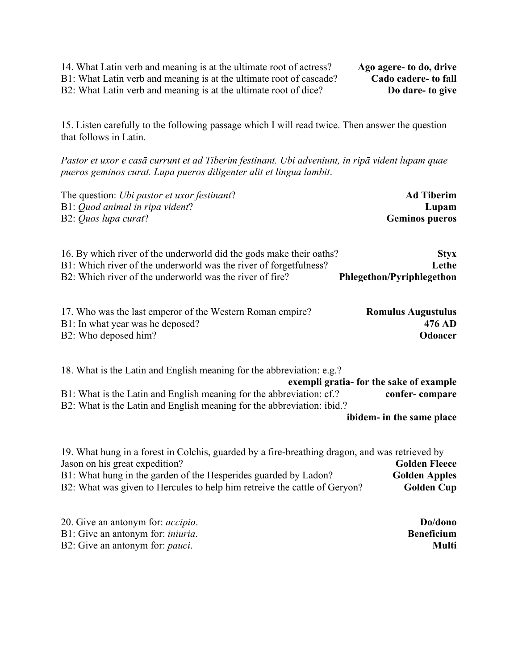14. What Latin verb and meaning is at the ultimate root of actress? **Ago agere- to do, drive**

B1: What Latin verb and meaning is at the ultimate root of cascade? **Cado cadere- to fall**

B2: What Latin verb and meaning is at the ultimate root of dice? **Do dare- to give**

15. Listen carefully to the following passage which I will read twice. Then answer the question that follows in Latin.

*Pastor et uxor e casā currunt et ad Tiberim festinant. Ubi adveniunt, in ripā vident lupam quae pueros geminos curat. Lupa pueros diligenter alit et lingua lambit*.

| The question: <i>Ubi pastor et uxor festinant</i> ?                 | <b>Ad Tiberim</b>         |
|---------------------------------------------------------------------|---------------------------|
| B1: Quod animal in ripa vident?                                     | Lupam                     |
| B2: Quos lupa curat?                                                | <b>Geminos pueros</b>     |
| 16. By which river of the underworld did the gods make their oaths? | <b>Styx</b>               |
| B1: Which river of the underworld was the river of forgetfulness?   | Lethe                     |
| B2: Which river of the underworld was the river of fire?            | Phlegethon/Pyriphlegethon |
| 17. Who was the last emperor of the Western Roman empire?           | <b>Romulus Augustulus</b> |
| B1: In what year was he deposed?                                    | 476 AD                    |
| B2: Who deposed him?                                                | <b>Odoacer</b>            |

18. What is the Latin and English meaning for the abbreviation: e.g.? **exempli gratia- for the sake of example** B1: What is the Latin and English meaning for the abbreviation: cf.? **confer- compare** B2: What is the Latin and English meaning for the abbreviation: ibid.?

**ibidem- in the same place**

| 19. What hung in a forest in Colchis, guarded by a fire-breathing dragon, and was retrieved by |                      |
|------------------------------------------------------------------------------------------------|----------------------|
| Jason on his great expedition?                                                                 | <b>Golden Fleece</b> |
| B1: What hung in the garden of the Hesperides guarded by Ladon?                                | <b>Golden Apples</b> |
| B2: What was given to Hercules to help him retreive the cattle of Geryon?                      | <b>Golden Cup</b>    |

| 20. Give an antonym for: <i>accipio</i> . | Do/dono           |
|-------------------------------------------|-------------------|
| B1: Give an antonym for: <i>iniuria</i> . | <b>Beneficium</b> |
| B2: Give an antonym for: <i>pauci</i> .   | <b>Multi</b>      |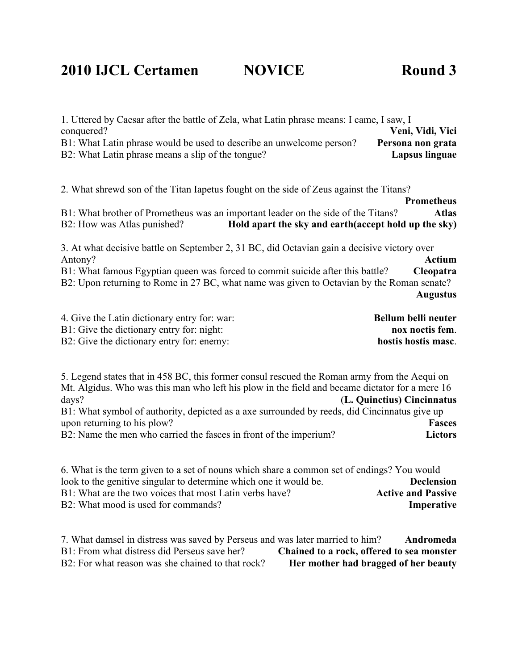### **2010 IJCL Certamen NOVICE Round 3**

| 1. Uttered by Caesar after the battle of Zela, what Latin phrase means: I came, I saw, I<br>conquered?<br>Veni, Vidi, Vici<br>B1: What Latin phrase would be used to describe an unwelcome person?<br>Persona non grata<br>B2: What Latin phrase means a slip of the tongue?<br><b>Lapsus linguae</b>                                                                                 |
|---------------------------------------------------------------------------------------------------------------------------------------------------------------------------------------------------------------------------------------------------------------------------------------------------------------------------------------------------------------------------------------|
| 2. What shrewd son of the Titan Iapetus fought on the side of Zeus against the Titans?<br><b>Prometheus</b>                                                                                                                                                                                                                                                                           |
| B1: What brother of Prometheus was an important leader on the side of the Titans?<br><b>Atlas</b><br>Hold apart the sky and earth (accept hold up the sky)<br>B2: How was Atlas punished?                                                                                                                                                                                             |
| 3. At what decisive battle on September 2, 31 BC, did Octavian gain a decisive victory over<br><b>Actium</b><br>Antony?<br>B1: What famous Egyptian queen was forced to commit suicide after this battle?<br>Cleopatra<br>B2: Upon returning to Rome in 27 BC, what name was given to Octavian by the Roman senate?<br><b>Augustus</b>                                                |
| 4. Give the Latin dictionary entry for: war:<br>Bellum belli neuter<br>B1: Give the dictionary entry for: night:<br>nox noctis fem.<br>B2: Give the dictionary entry for: enemy:<br>hostis hostis masc.                                                                                                                                                                               |
| 5. Legend states that in 458 BC, this former consul rescued the Roman army from the Aequi on<br>Mt. Algidus. Who was this man who left his plow in the field and became dictator for a mere 16<br>days?<br>(L. Quinctius) Cincinnatus<br>B1: What symbol of authority, depicted as a axe surrounded by reeds, did Cincinnatus give up<br>upon returning to his plow?<br><b>Fasces</b> |

B2: Name the men who carried the fasces in front of the imperium? **Lictors**

6. What is the term given to a set of nouns which share a common set of endings? You would look to the genitive singular to determine which one it would be. **Declension** B1: What are the two voices that most Latin verbs have? **Active and Passive** B2: What mood is used for commands? **Imperative**

7. What damsel in distress was saved by Perseus and was later married to him? **Andromeda** Chained to a rock, offered to sea monster B2: For what reason was she chained to that rock? **Her mother had bragged of her beauty**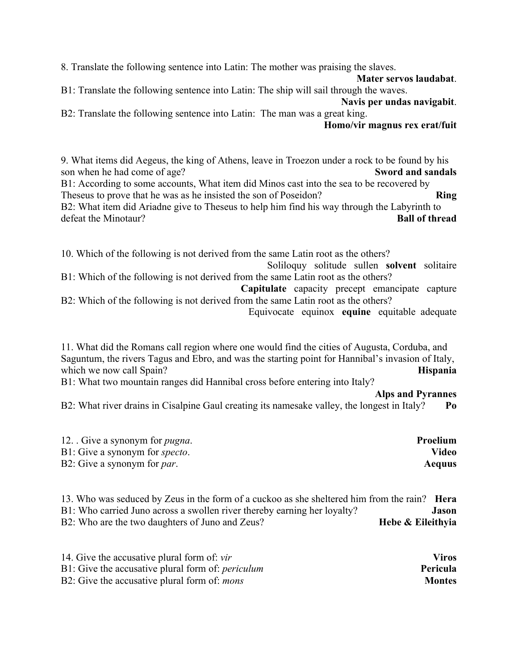8. Translate the following sentence into Latin: The mother was praising the slaves.

**Mater servos laudabat**. B1: Translate the following sentence into Latin: The ship will sail through the waves.

**Navis per undas navigabit**. B2: Translate the following sentence into Latin: The man was a great king.

**Homo/vir magnus rex erat/fuit**

9. What items did Aegeus, the king of Athens, leave in Troezon under a rock to be found by his son when he had come of age? **Sword and sandals**

B1: According to some accounts, What item did Minos cast into the sea to be recovered by Theseus to prove that he was as he insisted the son of Poseidon? **Ring** B2: What item did Ariadne give to Theseus to help him find his way through the Labyrinth to defeat the Minotaur? **Ball of thread**

10. Which of the following is not derived from the same Latin root as the others?

Soliloquy solitude sullen **solvent** solitaire B1: Which of the following is not derived from the same Latin root as the others?

**Capitulate** capacity precept emancipate capture B2: Which of the following is not derived from the same Latin root as the others?

Equivocate equinox **equine** equitable adequate

11. What did the Romans call region where one would find the cities of Augusta, Corduba, and Saguntum, the rivers Tagus and Ebro, and was the starting point for Hannibal's invasion of Italy, which we now call Spain? **Hispania** 

B1: What two mountain ranges did Hannibal cross before entering into Italy?

**Alps and Pyrannes**

B2: What river drains in Cisalpine Gaul creating its namesake valley, the longest in Italy? **Po**

| 12. Give a synonym for <i>pugna</i> .  | Proelium |
|----------------------------------------|----------|
| B1: Give a synonym for <i>specto</i> . | Video    |
| B2: Give a synonym for <i>par</i> .    | Aequus   |

13. Who was seduced by Zeus in the form of a cuckoo as she sheltered him from the rain? **Hera** B1: Who carried Juno across a swollen river thereby earning her loyalty? **Jason** B2: Who are the two daughters of Juno and Zeus? **Hebe & Eileithyia** 

| 14. Give the accusative plural form of: <i>vir</i>       | <b>Viros</b>  |
|----------------------------------------------------------|---------------|
| B1: Give the accusative plural form of: <i>periculum</i> | Pericula      |
| B2: Give the accusative plural form of: <i>mons</i>      | <b>Montes</b> |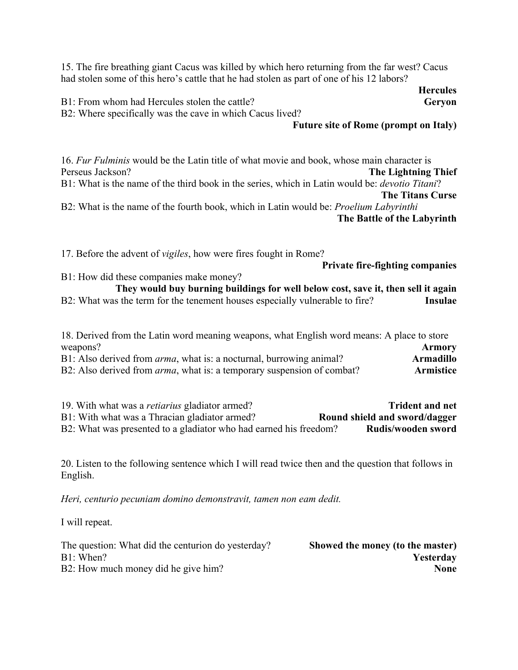15. The fire breathing giant Cacus was killed by which hero returning from the far west? Cacus had stolen some of this hero's cattle that he had stolen as part of one of his 12 labors?

**Hercules** B1: From whom had Hercules stolen the cattle? **Geryon** B2: Where specifically was the cave in which Cacus lived?

#### **Future site of Rome (prompt on Italy)**

16. *Fur Fulminis* would be the Latin title of what movie and book, whose main character is Perseus Jackson? **The Lightning Thief** B1: What is the name of the third book in the series, which in Latin would be: *devotio Titani*? **The Titans Curse** B2: What is the name of the fourth book, which in Latin would be: *Proelium Labyrinthi* **The Battle of the Labyrinth**

17. Before the advent of *vigiles*, how were fires fought in Rome?

**Private fire-fighting companies**

B1: How did these companies make money? **They would buy burning buildings for well below cost, save it, then sell it again** B2: What was the term for the tenement houses especially vulnerable to fire? **Insulae**

18. Derived from the Latin word meaning weapons, what English word means: A place to store weapons? **Armory** B1: Also derived from *arma*, what is: a nocturnal, burrowing animal? **Armadillo** B2: Also derived from *arma*, what is: a temporary suspension of combat? **Armistice**

19. With what was a *retiarius* gladiator armed? **Trident and net** B1: With what was a Thracian gladiator armed? **Round shield and sword/dagger** B2: What was presented to a gladiator who had earned his freedom? **Rudis/wooden sword** 

20. Listen to the following sentence which I will read twice then and the question that follows in English.

*Heri, centurio pecuniam domino demonstravit, tamen non eam dedit.*

I will repeat.

| The question: What did the centurion do yesterday? | Showed the money (to the master) |
|----------------------------------------------------|----------------------------------|
| B1: When?                                          | Yesterday                        |
| B2: How much money did he give him?                | None                             |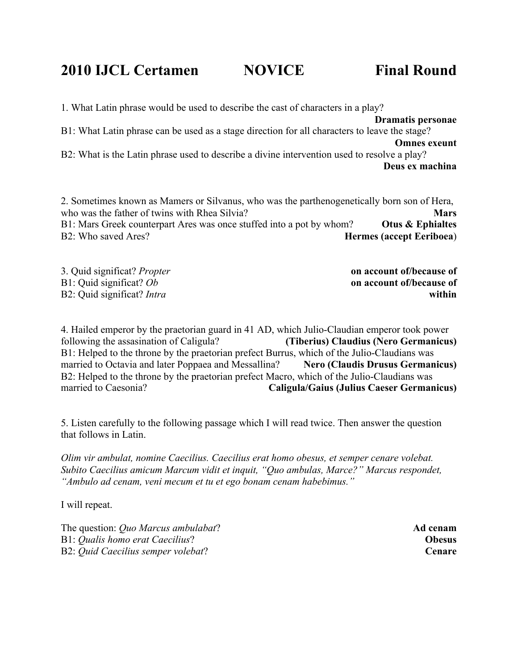**2010 IJCL Certamen NOVICE Final Round**

1. What Latin phrase would be used to describe the cast of characters in a play? **Dramatis personae** B1: What Latin phrase can be used as a stage direction for all characters to leave the stage? **Omnes exeunt** B2: What is the Latin phrase used to describe a divine intervention used to resolve a play? **Deus ex machina**

2. Sometimes known as Mamers or Silvanus, who was the parthenogenetically born son of Hera, who was the father of twins with Rhea Silvia? B1: Mars Greek counterpart Ares was once stuffed into a pot by whom? **Otus & Ephialtes** B2: Who saved Ares? **Hermes (accept Eeriboea**)

3. Quid significat? *Propter* **on account of/because of** B1: Quid significat? *Ob* **on account of/because of**

B2: Quid significat? *Intra* **within**

4. Hailed emperor by the praetorian guard in 41 AD, which Julio-Claudian emperor took power following the assasination of Caligula? **(Tiberius) Claudius (Nero Germanicus)** B1: Helped to the throne by the praetorian prefect Burrus, which of the Julio-Claudians was married to Octavia and later Poppaea and Messallina? **Nero (Claudis Drusus Germanicus)** B2: Helped to the throne by the praetorian prefect Macro, which of the Julio-Claudians was married to Caesonia? **Caligula/Gaius (Julius Caeser Germanicus)**

5. Listen carefully to the following passage which I will read twice. Then answer the question that follows in Latin.

*Olim vir ambulat, nomine Caecilius. Caecilius erat homo obesus, et semper cenare volebat. Subito Caecilius amicum Marcum vidit et inquit, "Quo ambulas, Marce?" Marcus respondet, "Ambulo ad cenam, veni mecum et tu et ego bonam cenam habebimus."* 

I will repeat.

The question: *Quo Marcus ambulabat*? **Ad cenam** B1: *Qualis homo erat Caecilius*? **Obesus** B2: *Quid Caecilius semper volebat*? **Cenare**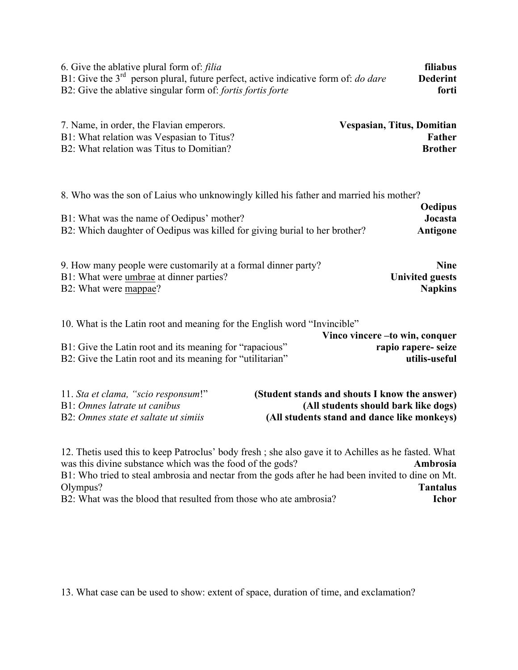| 6. Give the ablative plural form of: <i>filia</i>                                           | <b>filiabus</b> |
|---------------------------------------------------------------------------------------------|-----------------|
| B1: Give the $3rd$ person plural, future perfect, active indicative form of: <i>do dare</i> | <b>Dederint</b> |
| B2: Give the ablative singular form of: <i>fortis fortis forte</i>                          | forti           |

| 7. Name, in order, the Flavian emperors.  | Vespasian, Titus, Domitian |
|-------------------------------------------|----------------------------|
| B1: What relation was Vespasian to Titus? | <b>Father</b>              |
| B2: What relation was Titus to Domitian?  | <b>Brother</b>             |

8. Who was the son of Laius who unknowingly killed his father and married his mother?

|                                                                            | <b>Oedipus</b> |
|----------------------------------------------------------------------------|----------------|
| B1: What was the name of Oedipus' mother?                                  | Jocasta        |
| B2: Which daughter of Oedipus was killed for giving burial to her brother? | Antigone       |

| 9. How many people were customarily at a formal dinner party? | <b>Nine</b>            |
|---------------------------------------------------------------|------------------------|
| B1: What were umbrae at dinner parties?                       | <b>Univited guests</b> |
| B2: What were mappae?                                         | <b>Napkins</b>         |

| 10. What is the Latin root and meaning for the English word "Invincible" |                     |
|--------------------------------------------------------------------------|---------------------|
| Vinco vincere – to win, conquer                                          |                     |
| B1: Give the Latin root and its meaning for "rapacious"                  | rapio rapere- seize |
| B2: Give the Latin root and its meaning for "utilitarian"                | utilis-useful       |

| 11. Sta et clama, "scio responsum!"  | (Student stands and shouts I know the answer) |
|--------------------------------------|-----------------------------------------------|
| B1: Omnes latrate ut canibus         | (All students should bark like dogs)          |
| B2: Omnes state et saltate ut simils | (All students stand and dance like monkeys)   |

12. Thetis used this to keep Patroclus' body fresh ; she also gave it to Achilles as he fasted. What was this divine substance which was the food of the gods? **Ambrosia** B1: Who tried to steal ambrosia and nectar from the gods after he had been invited to dine on Mt. Olympus?<br>B2: What was the blood that resulted from those who ate ambrosia?<br>**Tantalus**<br>**Tehor** B2: What was the blood that resulted from those who ate ambrosia?

13. What case can be used to show: extent of space, duration of time, and exclamation?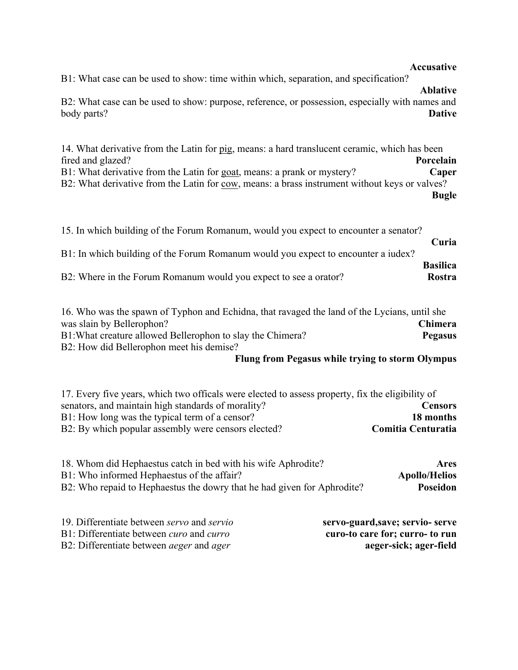#### **Accusative**

B1: What case can be used to show: time within which, separation, and specification?

B2: What case can be used to show: purpose, reference, or possession, especially with names and body parts? **Dative**

14. What derivative from the Latin for pig, means: a hard translucent ceramic, which has been fired and glazed? **Porcelain** B1: What derivative from the Latin for goat, means: a prank or mystery? **Caper** B2: What derivative from the Latin for cow, means: a brass instrument without keys or valves? **Bugle**

| B2: Where in the Forum Romanum would you expect to see a orator?                     | Rostra          |
|--------------------------------------------------------------------------------------|-----------------|
| B1: In which building of the Forum Romanum would you expect to encounter a judex?    | <b>Basilica</b> |
| 15. In which building of the Forum Romanum, would you expect to encounter a senator? | Curia           |

| 16. Who was the spawn of Typhon and Echidna, that ravaged the land of the Lycians, until she |                |
|----------------------------------------------------------------------------------------------|----------------|
| was slain by Bellerophon?                                                                    | <b>Chimera</b> |
| B1: What creature allowed Bellerophon to slay the Chimera?<br><b>Pegasus</b>                 |                |
| B2: How did Bellerophon meet his demise?                                                     |                |

#### **Flung from Pegasus while trying to storm Olympus**

17. Every five years, which two officals were elected to assess property, fix the eligibility of senators, and maintain high standards of morality? **Censors** B1: How long was the typical term of a censor? **18 months** B2: By which popular assembly were censors elected? **Comitia Centuratia** 

| 18. Whom did Hephaestus catch in bed with his wife Aphrodite?           | Ares                 |
|-------------------------------------------------------------------------|----------------------|
| B1: Who informed Hephaestus of the affair?                              | <b>Apollo/Helios</b> |
| B2: Who repaid to Hephaestus the dowry that he had given for Aphrodite? | Poseidon             |

| 19. Differentiate between <i>servo</i> and <i>servio</i> | servo-guard, save; servio- serve |
|----------------------------------------------------------|----------------------------------|
| B1: Differentiate between <i>curo</i> and <i>curro</i>   | curo-to care for; curro- to run  |
| B2: Differentiate between <i>aeger</i> and <i>ager</i>   | aeger-sick; ager-field           |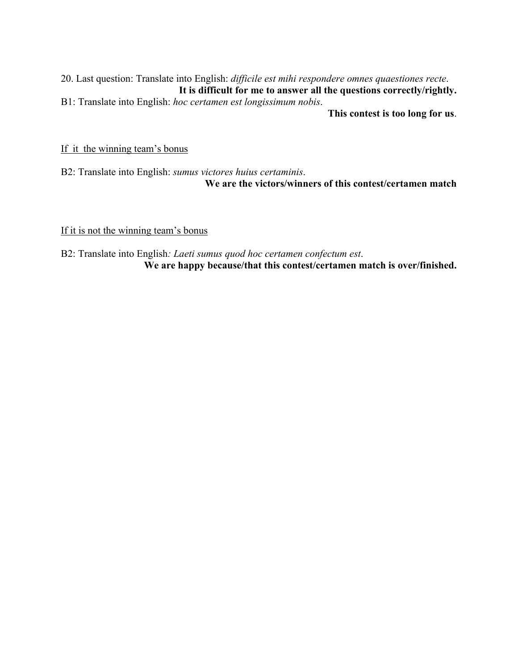20. Last question: Translate into English: *difficile est mihi respondere omnes quaestiones recte*. **It is difficult for me to answer all the questions correctly/rightly.** B1: Translate into English: *hoc certamen est longissimum nobis*.

**This contest is too long for us**.

If it the winning team's bonus

B2: Translate into English: *sumus victores huius certaminis*. **We are the victors/winners of this contest/certamen match**

If it is not the winning team's bonus

B2: Translate into English*: Laeti sumus quod hoc certamen confectum est*. **We are happy because/that this contest/certamen match is over/finished.**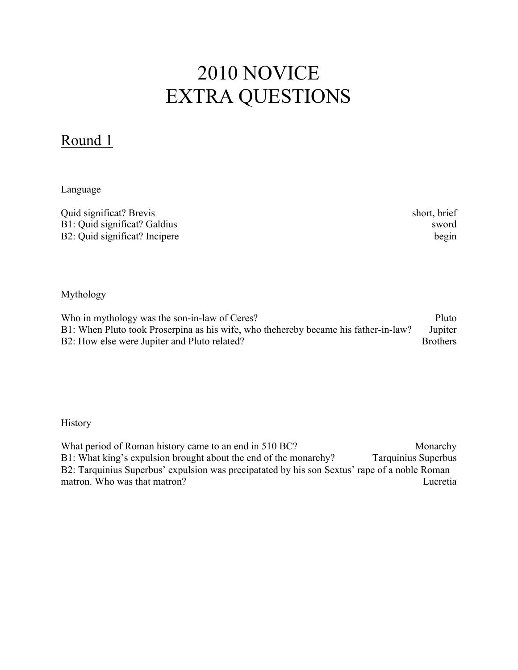# 2010 NOVICE EXTRA QUESTIONS

### Round 1

Language

| Quid significat? Brevis       | short, brief |
|-------------------------------|--------------|
| B1: Quid significat? Galdius  | sword        |
| B2: Quid significat? Incipere | begin        |

Mythology

Who in mythology was the son-in-law of Ceres? Pluto B1: When Pluto took Proserpina as his wife, who thehereby became his father-in-law? Jupiter B2: How else were Jupiter and Pluto related? Brothers

**History** 

What period of Roman history came to an end in 510 BC? Monarchy B1: What king's expulsion brought about the end of the monarchy? Tarquinius Superbus B2: Tarquinius Superbus' expulsion was precipatated by his son Sextus' rape of a noble Roman matron. Who was that matron? The contract of the contract of the contract of the contract of the contract of the contract of the contract of the contract of the contract of the contract of the contract of the contract of t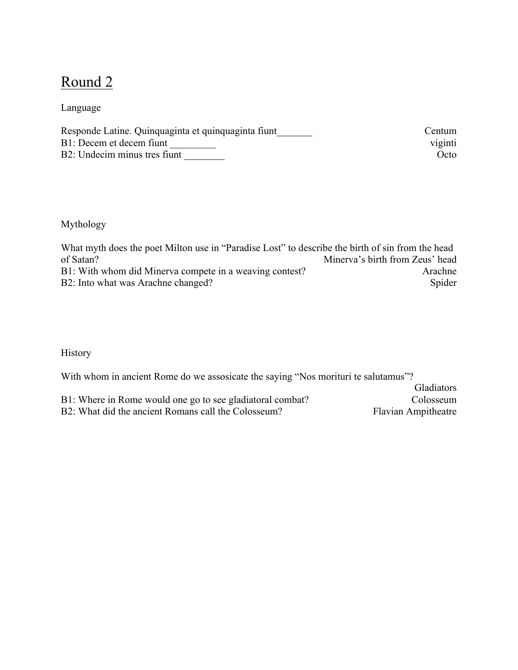### Round 2

Language

| Responde Latine. Quinquaginta et quinquaginta fiunt | Centum  |
|-----------------------------------------------------|---------|
| B1: Decem et decem fiunt                            | viginti |
| B2: Undecim minus tres fiunt                        | Octo    |

Mythology

What myth does the poet Milton use in "Paradise Lost" to describe the birth of sin from the head of Satan?<br>Minerva's birth from Zeus' head Minerva's birth from Zeus' head B1: With whom did Minerva compete in a weaving contest? Arachne B2: Into what was Arachne changed? Spider

History

With whom in ancient Rome do we assosicate the saying "Nos morituri te salutamus"?

| B1: Where in Rome would one go to see gladiatoral combat? | Colosseum                  |
|-----------------------------------------------------------|----------------------------|
| B2: What did the ancient Romans call the Colosseum?       | <b>Flavian Ampitheatre</b> |

Gladiators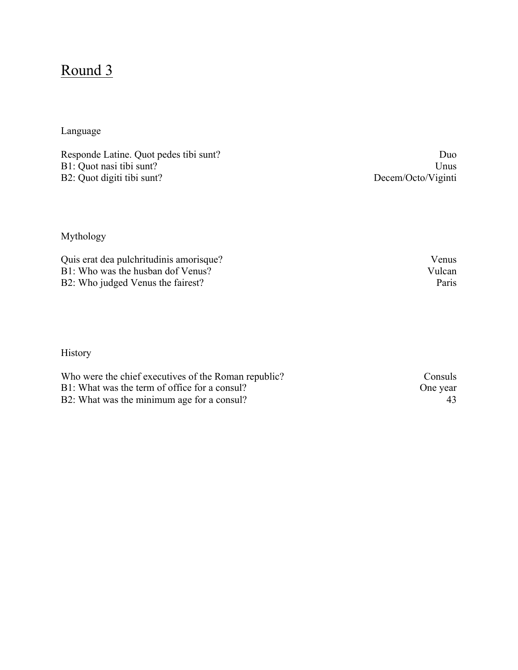### Round 3

### Language

Responde Latine. Quot pedes tibi sunt? Duo B1: Quot nasi tibi sunt? Unus B2: Quot digiti tibi sunt? Decem/Octo/Viginti

Mythology

Quis erat dea pulchritudinis amorisque? Venus B1: Who was the husban dof Venus? Vulcan B2: Who judged Venus the fairest? Paris

History

Who were the chief executives of the Roman republic? Consuls<br>B1: What was the term of office for a consul? One year B1: What was the term of office for a consul? B2: What was the minimum age for a consul? 43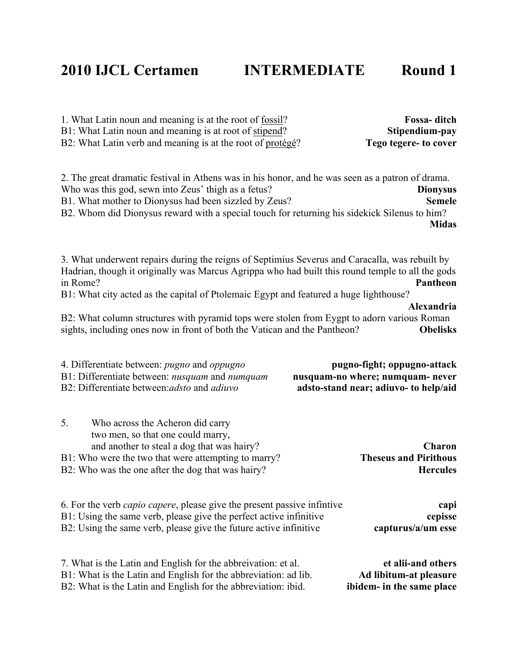### **2010 IJCL Certamen INTERMEDIATE Round 1**

1. What Latin noun and meaning is at the root of fossil? **Fossa- ditch** B1: What Latin noun and meaning is at root of stipend? **Stipendium-pay** B2: What Latin verb and meaning is at the root of protégé? **Tego tegere- to cover**

2. The great dramatic festival in Athens was in his honor, and he was seen as a patron of drama. Who was this god, sewn into Zeus' thigh as a fetus? **Dionysus** B1. What mother to Dionysus had been sizzled by Zeus? **Semele** B2. Whom did Dionysus reward with a special touch for returning his sidekick Silenus to him? **Midas**

3. What underwent repairs during the reigns of Septimius Severus and Caracalla, was rebuilt by Hadrian, though it originally was Marcus Agrippa who had built this round temple to all the gods in Rome? **Pantheon**

B1: What city acted as the capital of Ptolemaic Egypt and featured a huge lighthouse?

B2: What column structures with pyramid tops were stolen from Eygpt to adorn various Roman sights, including ones now in front of both the Vatican and the Pantheon? **Obelisks**

**Alexandria**

| pugno-fight; oppugno-attack<br>nusquam-no where; numquam- never<br>adsto-stand near; adiuvo- to help/aid |  | 4. Differentiate between: <i>pugno</i> and <i>oppugno</i><br>B1: Differentiate between: <i>nusquam</i> and <i>numquam</i><br>B2: Differentiate between: adsto and adiuvo                                                              |
|----------------------------------------------------------------------------------------------------------|--|---------------------------------------------------------------------------------------------------------------------------------------------------------------------------------------------------------------------------------------|
| Charon<br><b>Theseus and Pirithous</b><br><b>Hercules</b>                                                |  | 5.<br>Who across the Acheron did carry<br>two men, so that one could marry,<br>and another to steal a dog that was hairy?<br>B1: Who were the two that were attempting to marry?<br>B2: Who was the one after the dog that was hairy? |
| capi<br>cepisse<br>capturus/a/um esse                                                                    |  | 6. For the verb <i>capio capere</i> , please give the present passive infinitive<br>B1: Using the same verb, please give the perfect active infinitive<br>B2: Using the same verb, please give the future active infinitive           |
| et alii-and others<br>Ad libitum-at pleasure<br>ibidem- in the same place                                |  | 7. What is the Latin and English for the abbreivation: et al.<br>B1: What is the Latin and English for the abbreviation: ad lib.<br>B2: What is the Latin and English for the abbreviation: ibid.                                     |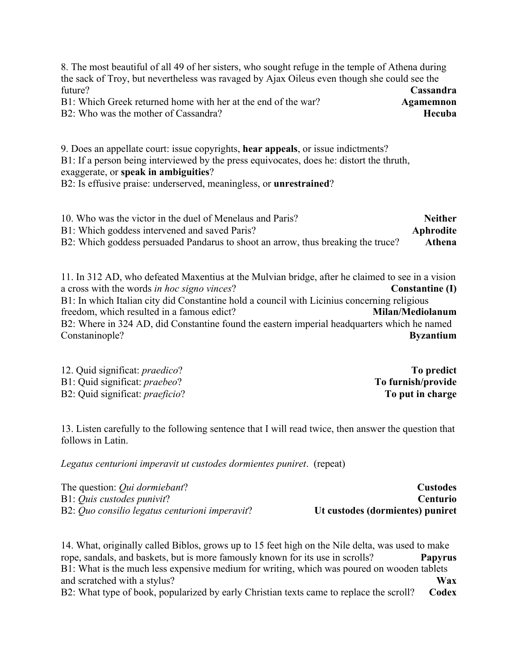8. The most beautiful of all 49 of her sisters, who sought refuge in the temple of Athena during the sack of Troy, but nevertheless was ravaged by Ajax Oileus even though she could see the future? **Cassandra** B1: Which Greek returned home with her at the end of the war? **Agamemnon** B<sub>2</sub>: Who was the mother of Cassandra?

9. Does an appellate court: issue copyrights, **hear appeals**, or issue indictments? B1: If a person being interviewed by the press equivocates, does he: distort the thruth, exaggerate, or **speak in ambiguities**?

B2: Is effusive praise: underserved, meaningless, or **unrestrained**?

10. Who was the victor in the duel of Menelaus and Paris? **Neither** B1: Which goddess intervened and saved Paris? **Aphrodite** B2: Which goddess persuaded Pandarus to shoot an arrow, thus breaking the truce? **Athena**

11. In 312 AD, who defeated Maxentius at the Mulvian bridge, after he claimed to see in a vision a cross with the words *in hoc signo vinces*? **Constantine (I)** B1: In which Italian city did Constantine hold a council with Licinius concerning religious freedom, which resulted in a famous edict? **Milan/Mediolanum** B2: Where in 324 AD, did Constantine found the eastern imperial headquarters which he named Constaninople? **Byzantium**

12. Quid significat: *praedico*? **To predict** B1: Quid significat: *praebeo*? B2: Quid significat: *praeficio*? **To put in charge**

13. Listen carefully to the following sentence that I will read twice, then answer the question that follows in Latin.

*Legatus centurioni imperavit ut custodes dormientes puniret*. (repeat)

| The question: <i>Oui dormiebant</i> ?          | <b>Custodes</b>                  |
|------------------------------------------------|----------------------------------|
| B1: <i>Quis custodes punivit?</i>              | <b>Centurio</b>                  |
| B2: Quo consilio legatus centurioni imperavit? | Ut custodes (dormientes) puniret |

14. What, originally called Biblos, grows up to 15 feet high on the Nile delta, was used to make rope, sandals, and baskets, but is more famously known for its use in scrolls? **Papyrus** B1: What is the much less expensive medium for writing, which was poured on wooden tablets and scratched with a stylus? **Wax** B2: What type of book, popularized by early Christian texts came to replace the scroll? **Codex**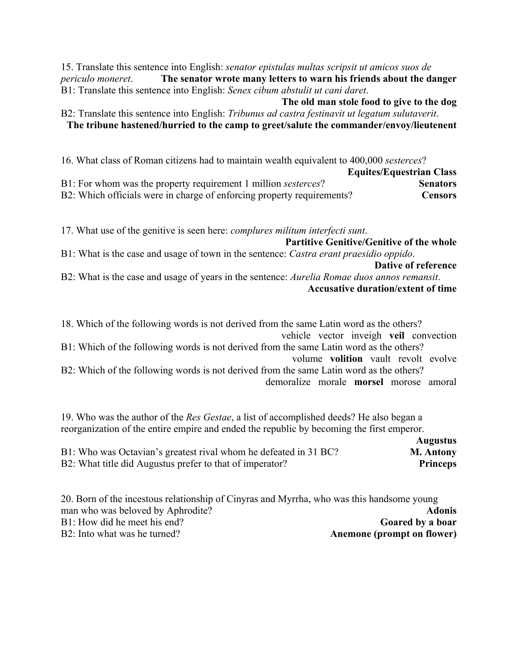15. Translate this sentence into English: *senator epistulas multas scripsit ut amicos suos de periculo moneret*. **The senator wrote many letters to warn his friends about the danger** B1: Translate this sentence into English: *Senex cibum abstulit ut cani daret*.

**The old man stole food to give to the dog** B2: Translate this sentence into English: *Tribunus ad castra festinavit ut legatum sulutaverit*. **The tribune hastened/hurried to the camp to greet/salute the commander/envoy/lieutenent** 

16. What class of Roman citizens had to maintain wealth equivalent to 400,000 *sesterces*?

|                                                                        | <b>Equites/Equestrian Class</b> |
|------------------------------------------------------------------------|---------------------------------|
| B1: For whom was the property requirement 1 million <i>sesterces</i> ? | <b>Senators</b>                 |
| B2: Which officials were in charge of enforcing property requirements? | <b>Censors</b>                  |

17. What use of the genitive is seen here: *complures militum interfecti sunt*.

**Partitive Genitive/Genitive of the whole** B1: What is the case and usage of town in the sentence: *Castra erant praesidio oppido*. **Dative of reference**

B2: What is the case and usage of years in the sentence: *Aurelia Romae duos annos remansit*. **Accusative duration/extent of time**

18. Which of the following words is not derived from the same Latin word as the others? vehicle vector inveigh **veil** convection

B1: Which of the following words is not derived from the same Latin word as the others? volume **volition** vault revolt evolve

B2: Which of the following words is not derived from the same Latin word as the others? demoralize morale **morsel** morose amoral

19. Who was the author of the *Res Gestae*, a list of accomplished deeds? He also began a reorganization of the entire empire and ended the republic by becoming the first emperor.

|                                                                  | <b>Augustus</b>  |
|------------------------------------------------------------------|------------------|
| B1: Who was Octavian's greatest rival whom he defeated in 31 BC? | <b>M. Antony</b> |
| B2: What title did Augustus prefer to that of imperator?         | <b>Princeps</b>  |

| 20. Born of the incestous relationship of Cinyras and Myrrha, who was this handsome young |                            |
|-------------------------------------------------------------------------------------------|----------------------------|
| man who was beloved by Aphrodite?                                                         | <b>Adonis</b>              |
| B1: How did he meet his end?                                                              | Goared by a boar           |
| B2: Into what was he turned?                                                              | Anemone (prompt on flower) |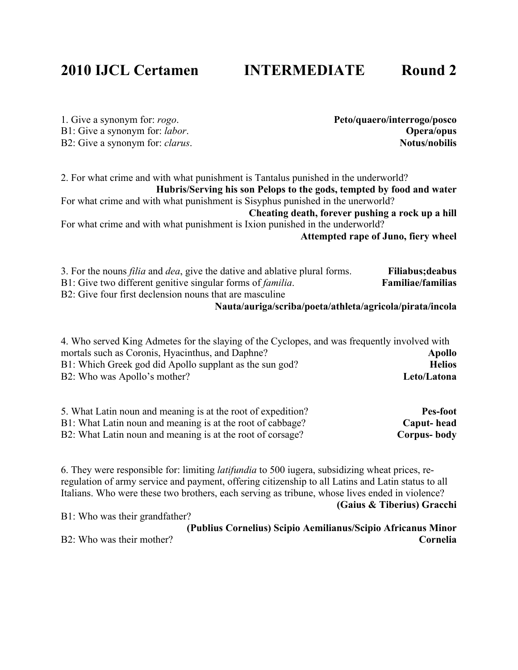## **2010 IJCL Certamen INTERMEDIATE Round 2**

1. Give a synonym for: *rogo*. **Peto/quaero/interrogo/posco** B1: Give a synonym for: *labor*. **Opera/opus** B2: Give a synonym for: *clarus*.

2. For what crime and with what punishment is Tantalus punished in the underworld? **Hubris/Serving his son Pelops to the gods, tempted by food and water** For what crime and with what punishment is Sisyphus punished in the unerworld? **Cheating death, forever pushing a rock up a hill** For what crime and with what punishment is Ixion punished in the underworld? **Attempted rape of Juno, fiery wheel**

3. For the nouns *filia* and *dea*, give the dative and ablative plural forms. **Filiabus;deabus** B1: Give two different genitive singular forms of *familia*. **Familiae/familias** B<sub>2</sub>: Give four first declension nouns that are masculine

### **Nauta/auriga/scriba/poeta/athleta/agricola/pirata/incola**

| 4. Who served King Admetes for the slaying of the Cyclopes, and was frequently involved with |               |
|----------------------------------------------------------------------------------------------|---------------|
| mortals such as Coronis, Hyacinthus, and Daphne?                                             | Apollo        |
| B1: Which Greek god did Apollo supplant as the sun god?                                      | <b>Helios</b> |
| B2: Who was Apollo's mother?                                                                 | Leto/Latona   |

| 5. What Latin noun and meaning is at the root of expedition? | Pes-foot    |
|--------------------------------------------------------------|-------------|
| B1: What Latin noun and meaning is at the root of cabbage?   | Caput-head  |
| B2: What Latin noun and meaning is at the root of corsage?   | Corpus-body |

6. They were responsible for: limiting *latifundia* to 500 iugera, subsidizing wheat prices, reregulation of army service and payment, offering citizenship to all Latins and Latin status to all Italians. Who were these two brothers, each serving as tribune, whose lives ended in violence?

**(Gaius & Tiberius) Gracchi**

B1: Who was their grandfather?

**(Publius Cornelius) Scipio Aemilianus/Scipio Africanus Minor** B2: Who was their mother? **Cornelia**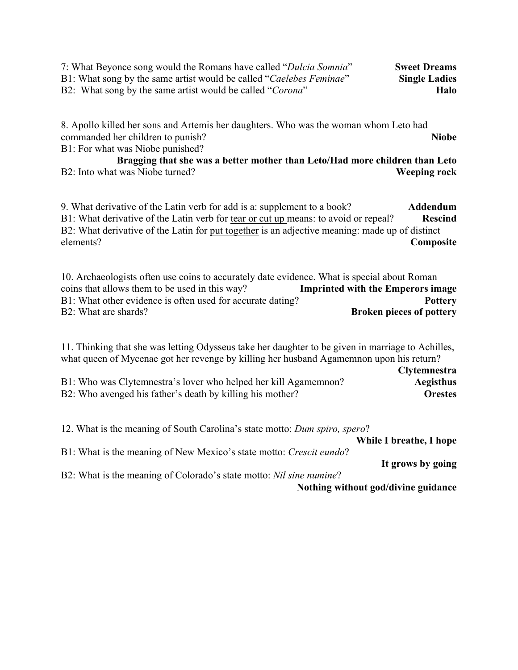| 7: What Beyonce song would the Romans have called "Dulcia Somnia"   | <b>Sweet Dreams</b>  |
|---------------------------------------------------------------------|----------------------|
| B1: What song by the same artist would be called "Caelebes Feminae" | <b>Single Ladies</b> |
| B2: What song by the same artist would be called " <i>Corona</i> "  | <b>Halo</b>          |

8. Apollo killed her sons and Artemis her daughters. Who was the woman whom Leto had commanded her children to punish? **Niobe**

B1: For what was Niobe punished?

**Bragging that she was a better mother than Leto/Had more children than Leto** B2: Into what was Niobe turned? **Weeping rock**

9. What derivative of the Latin verb for add is a: supplement to a book? **Addendum** B1: What derivative of the Latin verb for tear or cut up means: to avoid or repeal? **Rescind** B2: What derivative of the Latin for put together is an adjective meaning: made up of distinct elements? **Composite**

10. Archaeologists often use coins to accurately date evidence. What is special about Roman coins that allows them to be used in this way? **Imprinted with the Emperors image** B1: What other evidence is often used for accurate dating? **Pottery** B2: What are shards? **Broken pieces of pottery**

11. Thinking that she was letting Odysseus take her daughter to be given in marriage to Achilles, what queen of Mycenae got her revenge by killing her husband Agamemnon upon his return?

|                                                                 | <b>Clytemnestra</b> |
|-----------------------------------------------------------------|---------------------|
| B1: Who was Clytemnestra's lover who helped her kill Agamemnon? | Aegisthus           |
| B2: Who avenged his father's death by killing his mother?       | <b>Orestes</b>      |

12. What is the meaning of South Carolina's state motto: *Dum spiro, spero*?

**While I breathe, I hope**

B1: What is the meaning of New Mexico's state motto: *Crescit eundo*?

**It grows by going**

B2: What is the meaning of Colorado's state motto: *Nil sine numine*?

**Nothing without god/divine guidance**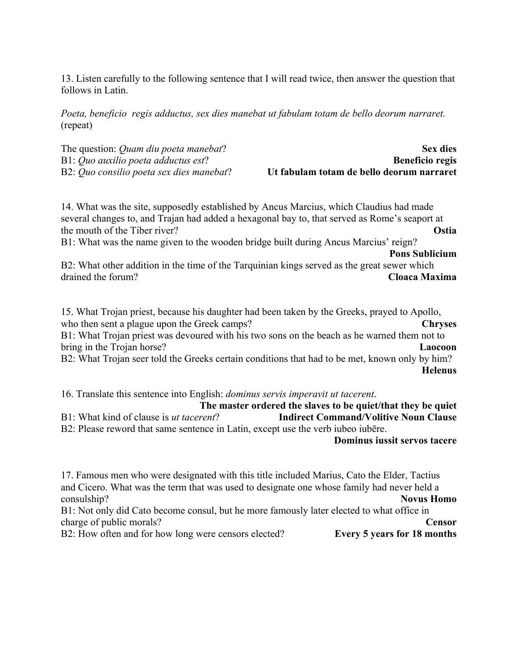13. Listen carefully to the following sentence that I will read twice, then answer the question that follows in Latin.

*Poeta, beneficio regis adductus, sex dies manebat ut fabulam totam de bello deorum narraret.* (repeat)

| The question: <i>Quam diu poeta manebat</i> ?    | <b>Sex dies</b>                           |
|--------------------------------------------------|-------------------------------------------|
| B1: Quo auxilio poeta adductus est?              | <b>Beneficio regis</b>                    |
| B2: <i>Ouo consilio poeta sex dies manebat</i> ? | Ut fabulam totam de bello deorum narraret |

14. What was the site, supposedly established by Ancus Marcius, which Claudius had made several changes to, and Trajan had added a hexagonal bay to, that served as Rome's seaport at the mouth of the Tiber river? **Ostia**

B1: What was the name given to the wooden bridge built during Ancus Marcius' reign?

**Pons Sublicium** 

B2: What other addition in the time of the Tarquinian kings served as the great sewer which drained the forum? **Cloaca Maxima**

15. What Trojan priest, because his daughter had been taken by the Greeks, prayed to Apollo, who then sent a plague upon the Greek camps? **Chryses** B1: What Trojan priest was devoured with his two sons on the beach as he warned them not to bring in the Trojan horse? **Laocoon** B2: What Trojan seer told the Greeks certain conditions that had to be met, known only by him? **Helenus**

16. Translate this sentence into English: *dominus servis imperavit ut tacerent*.

**The master ordered the slaves to be quiet/that they be quiet** B1: What kind of clause is *ut tacerent*? **Indirect Command/Volitive Noun Clause** B2: Please reword that same sentence in Latin, except use the verb iubeo iubēre.

**Dominus iussit servos tacere**

17. Famous men who were designated with this title included Marius, Cato the Elder, Tactius and Cicero. What was the term that was used to designate one whose family had never held a consulship? **Novus Homo** B1: Not only did Cato become consul, but he more famously later elected to what office in charge of public morals? **Censor** B2: How often and for how long were censors elected? **Every 5 years for 18 months**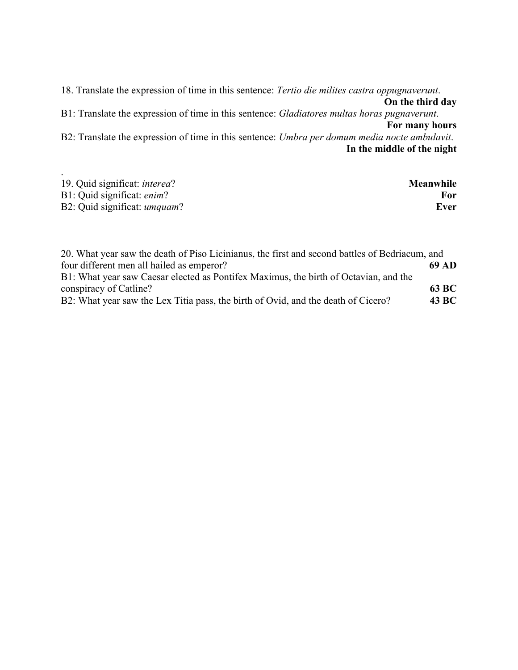18. Translate the expression of time in this sentence: *Tertio die milites castra oppugnaverunt*. **On the third day** B1: Translate the expression of time in this sentence: *Gladiatores multas horas pugnaverunt*. **For many hours** B2: Translate the expression of time in this sentence: *Umbra per domum media nocte ambulavit*. **In the middle of the night**

| 19. Quid significat: <i>interea</i> ? | Meanwhile |
|---------------------------------------|-----------|
| B1: Quid significat: enim?            | For       |
| B2: Quid significat: <i>umquam</i> ?  | Ever      |

| 20. What year saw the death of Piso Licinianus, the first and second battles of Bedriacum, and |              |
|------------------------------------------------------------------------------------------------|--------------|
| four different men all hailed as emperor?                                                      | 69 AD        |
| B1: What year saw Caesar elected as Pontifex Maximus, the birth of Octavian, and the           |              |
| conspiracy of Catline?                                                                         | 63 BC        |
| B2: What year saw the Lex Titia pass, the birth of Ovid, and the death of Cicero?              | <b>43 BC</b> |
|                                                                                                |              |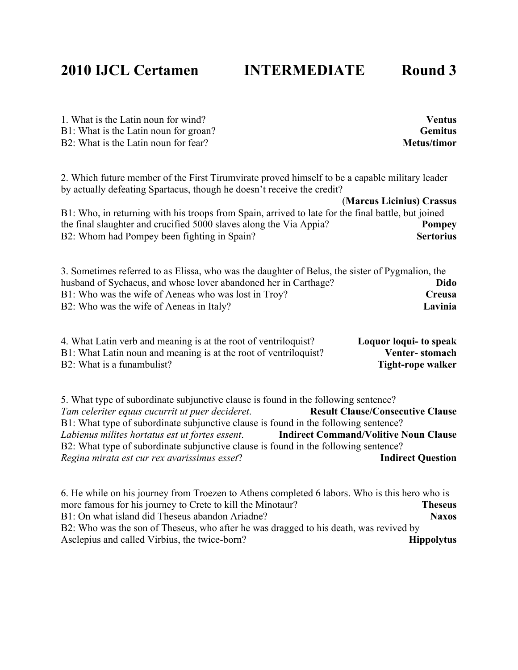## **2010 IJCL Certamen INTERMEDIATE Round 3**

1. What is the Latin noun for wind? **Ventus** B1: What is the Latin noun for groan? **Gemitus** B<sub>2</sub>: What is the Latin noun for fear? **Metus/timor Metus/timor** 

2. Which future member of the First Tirumvirate proved himself to be a capable military leader by actually defeating Spartacus, though he doesn't receive the credit?

(**Marcus Licinius) Crassus** B1: Who, in returning with his troops from Spain, arrived to late for the final battle, but joined the final slaughter and crucified 5000 slaves along the Via Appia? **Pompey** B2: Whom had Pompey been fighting in Spain? **Sertorius**

3. Sometimes referred to as Elissa, who was the daughter of Belus, the sister of Pygmalion, the husband of Sychaeus, and whose lover abandoned her in Carthage? **Dido** B1: Who was the wife of Aeneas who was lost in Troy? **Creusa** B2: Who was the wife of Aeneas in Italy? **Lavinia**

| 4. What Latin verb and meaning is at the root of ventriloquist?  | Loquor loqui- to speak |
|------------------------------------------------------------------|------------------------|
| B1: What Latin noun and meaning is at the root of ventriloquist? | Venter-stomach         |
| B2: What is a funambulist?                                       | Tight-rope walker      |

5. What type of subordinate subjunctive clause is found in the following sentence? *Tam celeriter equus cucurrit ut puer decideret.* **Result Clause/Consecutive Clause** B1: What type of subordinate subjunctive clause is found in the following sentence? *Labienus milites hortatus est ut fortes essent*. **Indirect Command/Volitive Noun Clause** B2: What type of subordinate subjunctive clause is found in the following sentence? *Regina mirata est cur rex avarissimus esset*? **Indirect Question**

6. He while on his journey from Troezen to Athens completed 6 labors. Who is this hero who is more famous for his journey to Crete to kill the Minotaur? **Theseus** B1: On what island did Theseus abandon Ariadne? **Naxos** B2: Who was the son of Theseus, who after he was dragged to his death, was revived by Asclepius and called Virbius, the twice-born? **Hippolytus**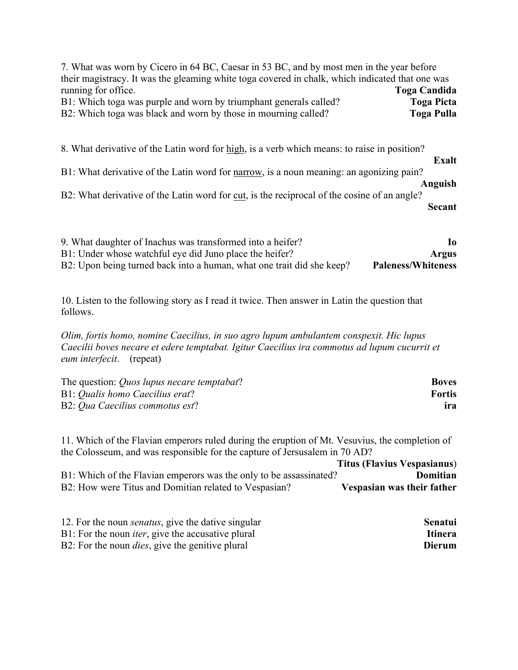| 7. What was worn by Cicero in 64 BC, Caesar in 53 BC, and by most men in the year before                                                                                                                                                                                              |                   |
|---------------------------------------------------------------------------------------------------------------------------------------------------------------------------------------------------------------------------------------------------------------------------------------|-------------------|
| their magistracy. It was the gleaming white toga covered in chalk, which indicated that one was                                                                                                                                                                                       |                   |
| running for office.                                                                                                                                                                                                                                                                   | Toga Candida      |
| B1: Which toga was purple and worn by triumphant generals called?                                                                                                                                                                                                                     | <b>Toga Picta</b> |
| B2: Which toga was black and worn by those in mourning called?                                                                                                                                                                                                                        | <b>Toga Pulla</b> |
| 8. What derivative of the Latin word for high, is a verb which means: to raise in position?<br>B1: What derivative of the Latin word for narrow, is a noun meaning: an agonizing pain?<br>B2: What derivative of the Latin word for cut, is the reciprocal of the cosine of an angle? | Exalt<br>Anguish  |
|                                                                                                                                                                                                                                                                                       | <b>Secant</b>     |
| $\alpha$ with the contraction of the contraction of $\alpha$ is the contraction of $\alpha$                                                                                                                                                                                           |                   |

| 9. What daughter of Inachus was transformed into a heifer?            | Iо                        |
|-----------------------------------------------------------------------|---------------------------|
| B1: Under whose watchful eye did Juno place the heifer?               | <b>Argus</b>              |
| B2: Upon being turned back into a human, what one trait did she keep? | <b>Paleness/Whiteness</b> |

10. Listen to the following story as I read it twice. Then answer in Latin the question that follows.

*Olim, fortis homo, nomine Caecilius, in suo agro lupum ambulantem conspexit. Hic lupus Caecilii boves necare et edere temptabat. Igitur Caecilius ira commotus ad lupum cucurrit et eum interfecit*. (repeat)

| The question: <i>Quos lupus necare temptabat</i> ? | <b>Boves</b>  |
|----------------------------------------------------|---------------|
| B1: Qualis homo Caecilius erat?                    | <b>Fortis</b> |
| B2: Qua Caecilius commotus est?                    | ira           |

11. Which of the Flavian emperors ruled during the eruption of Mt. Vesuvius, the completion of the Colosseum, and was responsible for the capture of Jersusalem in 70 AD?

|                                                                    | <b>Titus (Flavius Vespasianus)</b> |          |
|--------------------------------------------------------------------|------------------------------------|----------|
| B1: Which of the Flavian emperors was the only to be assassinated? |                                    | Domitian |
| B2: How were Titus and Domitian related to Vespasian?              | Vespasian was their father         |          |

| 12. For the noun <i>senatus</i> , give the dative singular | Senatui |
|------------------------------------------------------------|---------|
| B1: For the noun <i>iter</i> , give the accusative plural  | Itinera |
| B2: For the noun <i>dies</i> , give the genitive plural    | Dierum  |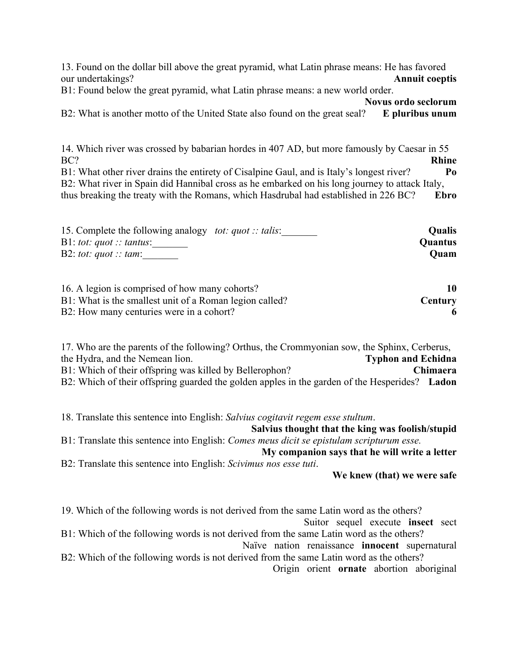13. Found on the dollar bill above the great pyramid, what Latin phrase means: He has favored our undertakings? **Annuit coeptis**

B1: Found below the great pyramid, what Latin phrase means: a new world order.

**Novus ordo seclorum** B2: What is another motto of the United State also found on the great seal? **E pluribus unum**

14. Which river was crossed by babarian hordes in 407 AD, but more famously by Caesar in 55 BC? **Rhine** B1: What other river drains the entirety of Cisalpine Gaul, and is Italy's longest river? **Po** B2: What river in Spain did Hannibal cross as he embarked on his long journey to attack Italy, thus breaking the treaty with the Romans, which Hasdrubal had established in 226 BC? **Ebro**

| 15. Complete the following analogy <i>tot: quot :: talis:</i> | <b>Oualis</b>  |
|---------------------------------------------------------------|----------------|
| B1: tot: quot :: tantus:                                      | <b>Quantus</b> |
| B2: tot: quot :: tam:                                         | Ouam           |

| 16. A legion is comprised of how many cohorts?          |         |
|---------------------------------------------------------|---------|
| B1: What is the smallest unit of a Roman legion called? | Century |
| B2: How many centuries were in a cohort?                |         |

17. Who are the parents of the following? Orthus, the Crommyonian sow, the Sphinx, Cerberus, the Hydra, and the Nemean lion. **Typhon and Echidna** B1: Which of their offspring was killed by Bellerophon? **Chimaera** B2: Which of their offspring guarded the golden apples in the garden of the Hesperides? **Ladon**

18. Translate this sentence into English: *Salvius cogitavit regem esse stultum*.

**Salvius thought that the king was foolish/stupid**

B1: Translate this sentence into English: *Comes meus dicit se epistulam scripturum esse.* **My companion says that he will write a letter**

B2: Translate this sentence into English: *Scivimus nos esse tuti*.

#### **We knew (that) we were safe**

19. Which of the following words is not derived from the same Latin word as the others?

Suitor sequel execute **insect** sect

B1: Which of the following words is not derived from the same Latin word as the others? Naïve nation renaissance **innocent** supernatural

B2: Which of the following words is not derived from the same Latin word as the others? Origin orient **ornate** abortion aboriginal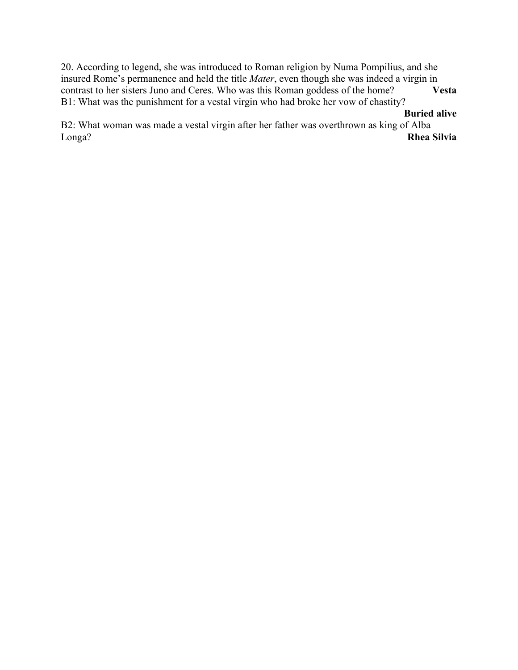20. According to legend, she was introduced to Roman religion by Numa Pompilius, and she insured Rome's permanence and held the title *Mater*, even though she was indeed a virgin in contrast to her sisters Juno and Ceres. Who was this Roman goddess of the home? **Vesta** B1: What was the punishment for a vestal virgin who had broke her vow of chastity?

### **Buried alive**

B2: What woman was made a vestal virgin after her father was overthrown as king of Alba Longa? **Rhea Silvia**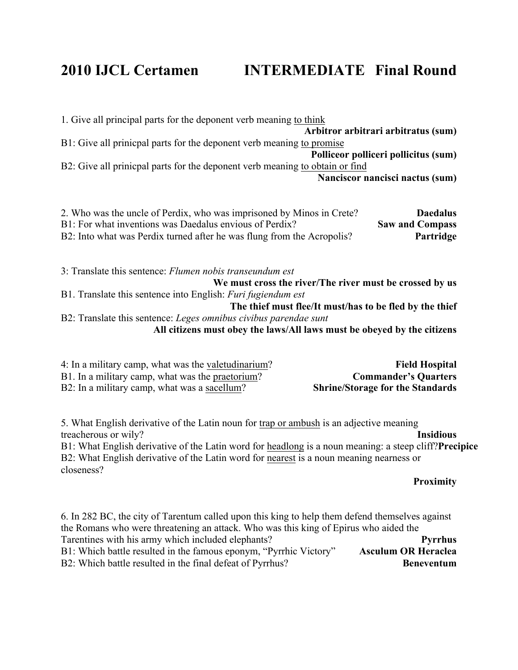### **2010 IJCL Certamen INTERMEDIATE Final Round**

1. Give all principal parts for the deponent verb meaning to think **Arbitror arbitrari arbitratus (sum)** B1: Give all prinicpal parts for the deponent verb meaning to promise **Polliceor polliceri pollicitus (sum)** B2: Give all prinicpal parts for the deponent verb meaning to obtain or find **Nanciscor nancisci nactus (sum)**

| 2. Who was the uncle of Perdix, who was imprisoned by Minos in Crete?  | <b>Daedalus</b>        |
|------------------------------------------------------------------------|------------------------|
| B1: For what inventions was Daedalus envious of Perdix?                | <b>Saw and Compass</b> |
| B2: Into what was Perdix turned after he was flung from the Acropolis? | <b>Partridge</b>       |

3: Translate this sentence: *Flumen nobis transeundum est* **We must cross the river/The river must be crossed by us** B1. Translate this sentence into English: *Furi fugiendum est* **The thief must flee/It must/has to be fled by the thief**  B2: Translate this sentence: *Leges omnibus civibus parendae sunt* **All citizens must obey the laws/All laws must be obeyed by the citizens**

| 4: In a military camp, what was the valetudinarium? | <b>Field Hospital</b>                   |
|-----------------------------------------------------|-----------------------------------------|
| B1. In a military camp, what was the praetorium?    | <b>Commander's Quarters</b>             |
| B2: In a military camp, what was a sacellum?        | <b>Shrine/Storage for the Standards</b> |

5. What English derivative of the Latin noun for trap or ambush is an adjective meaning treacherous or wily? **Insidious**

B1: What English derivative of the Latin word for headlong is a noun meaning: a steep cliff?**Precipice** B2: What English derivative of the Latin word for nearest is a noun meaning nearness or closeness?

#### **Proximity**

6. In 282 BC, the city of Tarentum called upon this king to help them defend themselves against the Romans who were threatening an attack. Who was this king of Epirus who aided the Tarentines with his army which included elephants?<br>B1: Which battle resulted in the famous eponym. "Pyrrhic Victory" **Asculum OR Heraclea** B1: Which battle resulted in the famous eponym, "Pyrrhic Victory" B2: Which battle resulted in the final defeat of Pyrrhus? **Beneventum**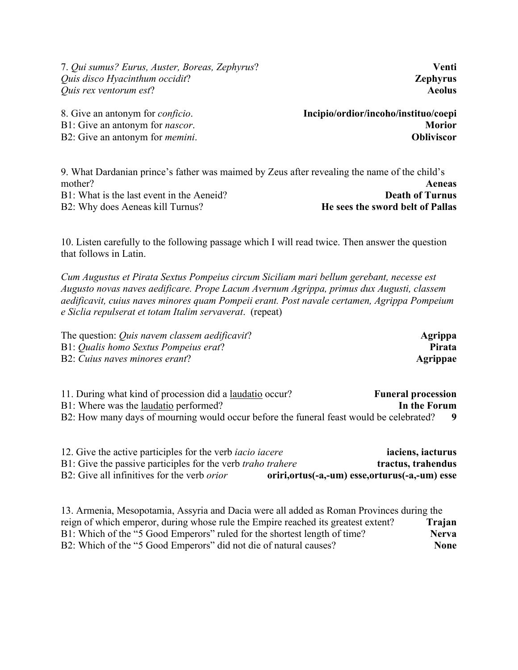7. *Qui sumus? Eurus, Auster, Boreas, Zephyrus*? **Venti** *Quis disco Hyacinthum occidit*? **Zephyrus** *Quis rex ventorum est*? **Aeolus**

8. Give an antonym for *conficio*. **Incipio/ordior/incoho/instituo/coepi** B1: Give an antonym for *nascor*. **Morior** B2: Give an antonym for *memini*. **Obliviscor**

9. What Dardanian prince's father was maimed by Zeus after revealing the name of the child's mother? **Aeneas** B1: What is the last event in the Aeneid? **Death of Turnus** B2: Why does Aeneas kill Turnus? **He sees the sword belt of Pallas**

10. Listen carefully to the following passage which I will read twice. Then answer the question that follows in Latin.

*Cum Augustus et Pirata Sextus Pompeius circum Siciliam mari bellum gerebant, necesse est Augusto novas naves aedificare. Prope Lacum Avernum Agrippa, primus dux Augusti, classem aedificavit, cuius naves minores quam Pompeii erant. Post navale certamen, Agrippa Pompeium e Siclia repulserat et totam Italim servaverat*. (repeat)

| The question: <i>Quis navem classem aedificavit</i> ? | Agrippa       |
|-------------------------------------------------------|---------------|
| B1: Qualis homo Sextus Pompeius erat?                 | <b>Pirata</b> |
| B2: Cuius naves minores erant?                        | Agrippae      |

11. During what kind of procession did a laudatio occur? **Funeral procession** B1: Where was the laudatio performed? **In the Forum** B2: How many days of mourning would occur before the funeral feast would be celebrated? **9**

| 12. Give the active participles for the verb <i>iacio iacere</i>   | iaciens, iacturus                                 |
|--------------------------------------------------------------------|---------------------------------------------------|
| B1: Give the passive participles for the verb <i>traho trahere</i> | tractus, trahendus                                |
| B2: Give all infinitives for the verb <i>orior</i>                 | oriri, ortus (-a,-um) esse, orturus (-a,-um) esse |

13. Armenia, Mesopotamia, Assyria and Dacia were all added as Roman Provinces during the reign of which emperor, during whose rule the Empire reached its greatest extent? **Trajan** B1: Which of the "5 Good Emperors" ruled for the shortest length of time? **Nerva** B2: Which of the "5 Good Emperors" did not die of natural causes? **None**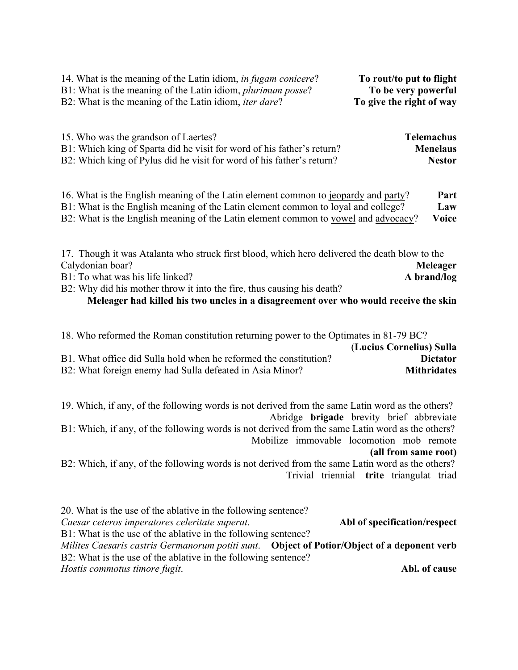| 14. What is the meaning of the Latin idiom, <i>in fugam conicere?</i> | To rout/to put to flight |
|-----------------------------------------------------------------------|--------------------------|
| B1: What is the meaning of the Latin idiom, <i>plurimum posse</i> ?   | To be very powerful      |
| B2: What is the meaning of the Latin idiom, <i>iter dare</i> ?        | To give the right of way |

| 15. Who was the grandson of Laertes?                                   | <b>Telemachus</b> |
|------------------------------------------------------------------------|-------------------|
| B1: Which king of Sparta did he visit for word of his father's return? | <b>Menelaus</b>   |
| B2: Which king of Pylus did he visit for word of his father's return?  | <b>Nestor</b>     |

16. What is the English meaning of the Latin element common to jeopardy and party? **Part** B1: What is the English meaning of the Latin element common to loyal and college? **Law** B2: What is the English meaning of the Latin element common to vowel and advocacy? **Voice**

| 17. Though it was Atalanta who struck first blood, which hero delivered the death blow to the |             |
|-----------------------------------------------------------------------------------------------|-------------|
| Calydonian boar?                                                                              | Meleager    |
| B1: To what was his life linked?                                                              | A brand/log |
| B2: Why did his mother throw it into the fire, thus causing his death?                        |             |

#### **Meleager had killed his two uncles in a disagreement over who would receive the skin**

| 18. Who reformed the Roman constitution returning power to the Optimates in 81-79 BC? |                          |
|---------------------------------------------------------------------------------------|--------------------------|
|                                                                                       | (Lucius Cornelius) Sulla |
| B1. What office did Sulla hold when he reformed the constitution?                     | <b>Dictator</b>          |
| B2: What foreign enemy had Sulla defeated in Asia Minor?                              | <b>Mithridates</b>       |

19. Which, if any, of the following words is not derived from the same Latin word as the others? Abridge **brigade** brevity brief abbreviate

B1: Which, if any, of the following words is not derived from the same Latin word as the others? Mobilize immovable locomotion mob remote

#### **(all from same root)**

B2: Which, if any, of the following words is not derived from the same Latin word as the others? Trivial triennial **trite** triangulat triad

20. What is the use of the ablative in the following sentence? *Caesar ceteros imperatores celeritate superat*. **Abl of specification/respect** B1: What is the use of the ablative in the following sentence? *Milites Caesaris castris Germanorum potiti sunt*. **Object of Potior/Object of a deponent verb** B2: What is the use of the ablative in the following sentence? *Hostis commotus timore fugit*. **Abl. of cause**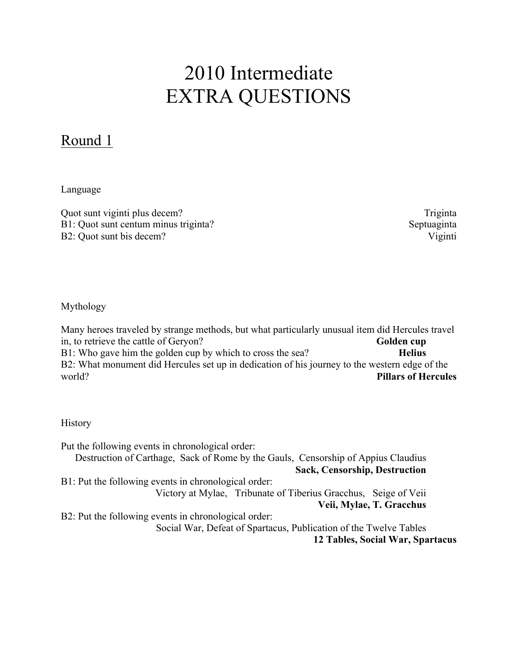# 2010 Intermediate EXTRA QUESTIONS

### Round 1

Language

Quot sunt viginti plus decem? Triginta B1: Quot sunt centum minus triginta? Septuaginta B2: Quot sunt bis decem? Viginti

Mythology

Many heroes traveled by strange methods, but what particularly unusual item did Hercules travel in, to retrieve the cattle of Geryon? **Golden cup** B1: Who gave him the golden cup by which to cross the sea? **Helius** B2: What monument did Hercules set up in dedication of his journey to the western edge of the world? **Pillars of Hercules**

**History** 

Put the following events in chronological order: Destruction of Carthage, Sack of Rome by the Gauls, Censorship of Appius Claudius **Sack, Censorship, Destruction** B1: Put the following events in chronological order: Victory at Mylae, Tribunate of Tiberius Gracchus, Seige of Veii **Veii, Mylae, T. Gracchus** B2: Put the following events in chronological order: Social War, Defeat of Spartacus, Publication of the Twelve Tables **12 Tables, Social War, Spartacus**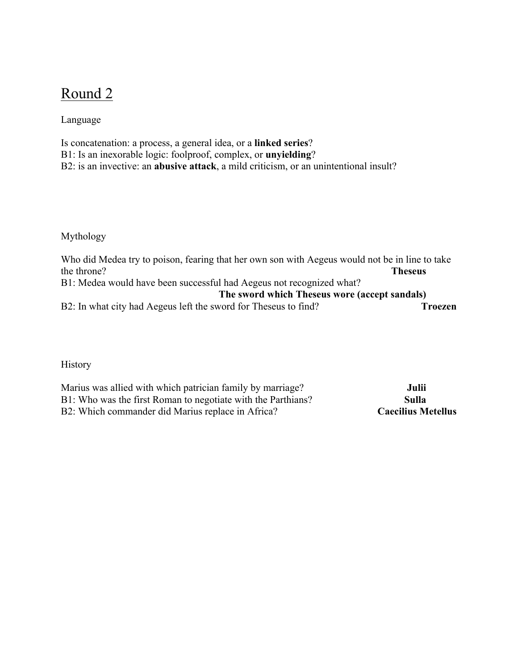### Round 2

Language

Is concatenation: a process, a general idea, or a **linked series**? B1: Is an inexorable logic: foolproof, complex, or **unyielding**? B2: is an invective: an **abusive attack**, a mild criticism, or an unintentional insult?

Mythology

Who did Medea try to poison, fearing that her own son with Aegeus would not be in line to take the throne? **Theseus** B1: Medea would have been successful had Aegeus not recognized what? **The sword which Theseus wore (accept sandals)** B2: In what city had Aegeus left the sword for Theseus to find? **Troezen** 

**History** 

Marius was allied with which patrician family by marriage? **Julii** B1: Who was the first Roman to negotiate with the Parthians? **Sulla** B2: Which commander did Marius replace in Africa? **Caecilius Metellus**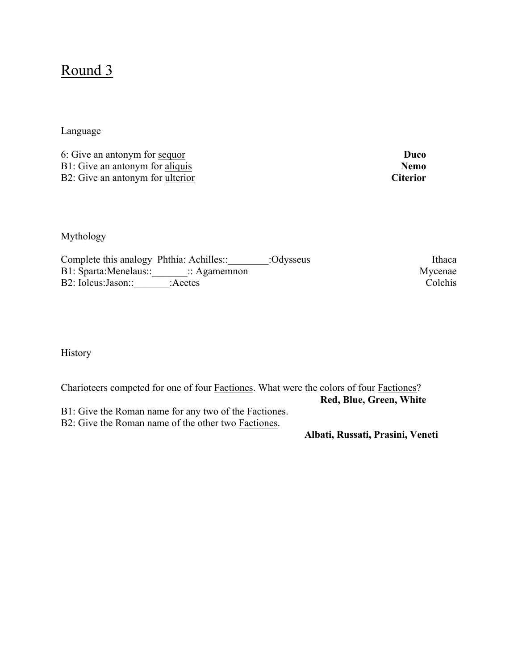### Round 3

Language

6: Give an antonym for sequor **Duco** B1: Give an antonym for <u>aliquis</u> **Nemo**<br>B2: Give an antonym for ulterior **Nemo**<br>**Citerior** B2: Give an antonym for ulterior

Mythology

| Complete this analogy Phthia: Achilles: |                                         | :Odysseus | Ithaca  |
|-----------------------------------------|-----------------------------------------|-----------|---------|
|                                         | B1: Sparta:Menelaus:: : : : : Agamemnon |           | Mycenae |
| B2: Iolcus: Jason::                     | :Aeetes                                 |           | Colchis |

History

Charioteers competed for one of four Factiones. What were the colors of four Factiones? **Red, Blue, Green, White**

B1: Give the Roman name for any two of the Factiones.

B2: Give the Roman name of the other two Factiones.

**Albati, Russati, Prasini, Veneti**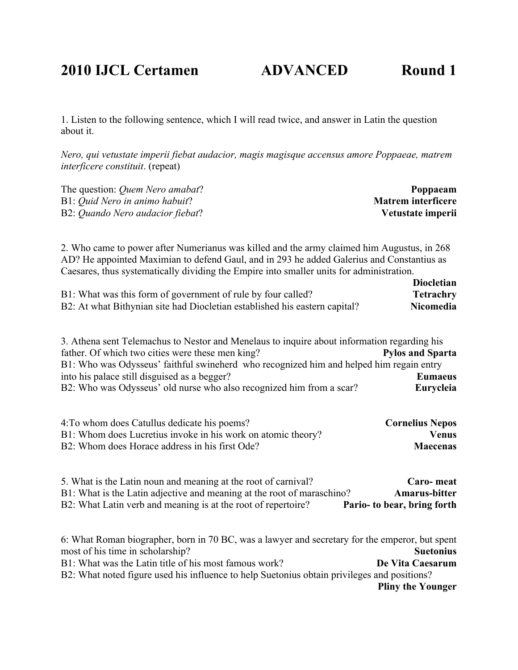### **2010 IJCL Certamen ADVANCED Round 1**

1. Listen to the following sentence, which I will read twice, and answer in Latin the question about it.

*Nero, qui vetustate imperii fiebat audacior, magis magisque accensus amore Poppaeae, matrem interficere constituit*. (repeat)

| The question: <i>Quem Nero amabat</i> ? | Poppaeam                  |
|-----------------------------------------|---------------------------|
| B1: <i>Ouid Nero in animo habuit</i> ?  | <b>Matrem interficere</b> |
| B2: Quando Nero audacior fiebat?        | Vetustate imperii         |

2. Who came to power after Numerianus was killed and the army claimed him Augustus, in 268 AD? He appointed Maximian to defend Gaul, and in 293 he added Galerius and Constantius as Caesares, thus systematically dividing the Empire into smaller units for administration.

|                                                                            | <b>Diocletian</b> |
|----------------------------------------------------------------------------|-------------------|
| B1: What was this form of government of rule by four called?               | <b>Tetrachry</b>  |
| B2: At what Bithynian site had Diocletian established his eastern capital? | <b>Nicomedia</b>  |

3. Athena sent Telemachus to Nestor and Menelaus to inquire about information regarding his father. Of which two cities were these men king? **Pylos and Sparta** B1: Who was Odysseus' faithful swineherd who recognized him and helped him regain entry into his palace still disguised as a begger? **Eumaeus** B2: Who was Odysseus' old nurse who also recognized him from a scar? **Eurycleia**

| 4: To whom does Catullus dedicate his poems?                 | <b>Cornelius Nepos</b> |
|--------------------------------------------------------------|------------------------|
| B1: Whom does Lucretius invoke in his work on atomic theory? | <b>Venus</b>           |
| B2: Whom does Horace address in his first Ode?               | <b>Maecenas</b>        |

| 5. What is the Latin noun and meaning at the root of carnival?         | Caro-meat                   |
|------------------------------------------------------------------------|-----------------------------|
| B1: What is the Latin adjective and meaning at the root of maraschino? | <b>Amarus-bitter</b>        |
| B2: What Latin verb and meaning is at the root of repertoire?          | Pario- to bear, bring forth |

6: What Roman biographer, born in 70 BC, was a lawyer and secretary for the emperor, but spent most of his time in scholarship? **Suetonius** B1: What was the Latin title of his most famous work? **De Vita Caesarum** B2: What noted figure used his influence to help Suetonius obtain privileges and positions? **Pliny the Younger**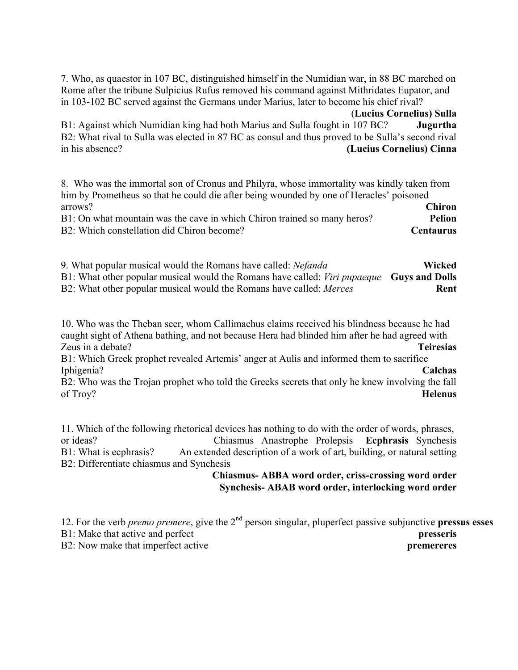7. Who, as quaestor in 107 BC, distinguished himself in the Numidian war, in 88 BC marched on Rome after the tribune Sulpicius Rufus removed his command against Mithridates Eupator, and in 103-102 BC served against the Germans under Marius, later to become his chief rival?

(**Lucius Cornelius) Sulla**

B1: Against which Numidian king had both Marius and Sulla fought in 107 BC? **Jugurtha** B2: What rival to Sulla was elected in 87 BC as consul and thus proved to be Sulla's second rival in his absence? **(Lucius Cornelius) Cinna**

8. Who was the immortal son of Cronus and Philyra, whose immortality was kindly taken from him by Prometheus so that he could die after being wounded by one of Heracles' poisoned arrows? **Chiron** B1: On what mountain was the cave in which Chiron trained so many heros? **Pelion**

B2: Which constellation did Chiron become? **Centaurus**

9. What popular musical would the Romans have called: *Nefanda* **Wicked** B1: What other popular musical would the Romans have called: *Viri pupaeque* **Guys and Dolls** B2: What other popular musical would the Romans have called: *Merces* **Rent** 

10. Who was the Theban seer, whom Callimachus claims received his blindness because he had caught sight of Athena bathing, and not because Hera had blinded him after he had agreed with Zeus in a debate? **Teiresias**

B1: Which Greek prophet revealed Artemis' anger at Aulis and informed them to sacrifice Iphigenia? **Calchas**

B2: Who was the Trojan prophet who told the Greeks secrets that only he knew involving the fall of Troy? **Helenus**

11. Which of the following rhetorical devices has nothing to do with the order of words, phrases, or ideas? Chiasmus Anastrophe Prolepsis **Ecphrasis** Synchesis B1: What is ecphrasis? An extended description of a work of art, building, or natural setting B2: Differentiate chiasmus and Synchesis

#### **Chiasmus- ABBA word order, criss-crossing word order Synchesis- ABAB word order, interlocking word order**

12. For the verb *premo premere*, give the 2nd person singular, pluperfect passive subjunctive **pressus esses** B1: Make that active and perfect **presseris** B2: Now make that imperfect active **premerers**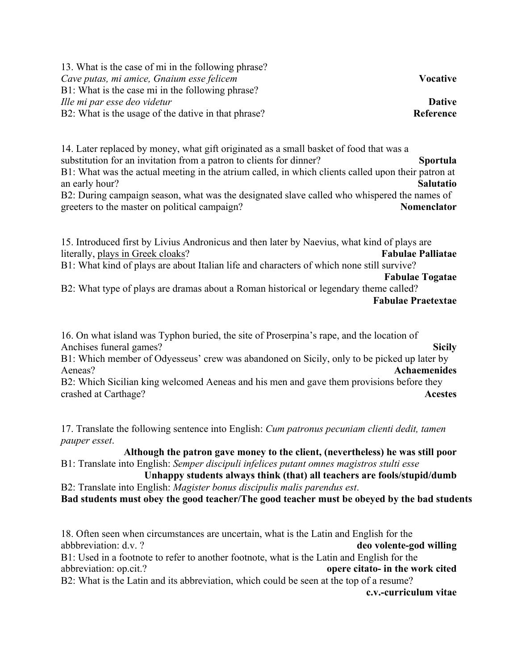| <b>Vocative</b> |
|-----------------|
|                 |
| <b>Dative</b>   |
| Reference       |
|                 |

14. Later replaced by money, what gift originated as a small basket of food that was a substitution for an invitation from a patron to clients for dinner? **Sportula** B1: What was the actual meeting in the atrium called, in which clients called upon their patron at an early hour? **Salutatio** B2: During campaign season, what was the designated slave called who whispered the names of greeters to the master on political campaign? **Nomenclator**

15. Introduced first by Livius Andronicus and then later by Naevius, what kind of plays are literally, plays in Greek cloaks? **Fabulae Palliatae** B1: What kind of plays are about Italian life and characters of which none still survive? **Fabulae Togatae**

B2: What type of plays are dramas about a Roman historical or legendary theme called? **Fabulae Praetextae**

16. On what island was Typhon buried, the site of Proserpina's rape, and the location of Anchises funeral games? **Sicily**

B1: Which member of Odyesseus' crew was abandoned on Sicily, only to be picked up later by Aeneas? **Achaemenides**

B2: Which Sicilian king welcomed Aeneas and his men and gave them provisions before they crashed at Carthage? **Acestes**

17. Translate the following sentence into English: *Cum patronus pecuniam clienti dedit, tamen pauper esset*.

**Although the patron gave money to the client, (nevertheless) he was still poor** B1: Translate into English: *Semper discipuli infelices putant omnes magistros stulti esse*

**Unhappy students always think (that) all teachers are fools/stupid/dumb** B2: Translate into English: *Magister bonus discipulis malis parendus est*.

**Bad students must obey the good teacher/The good teacher must be obeyed by the bad students**

18. Often seen when circumstances are uncertain, what is the Latin and English for the abbbreviation: d.v. ? **deo volente-god willing** B1: Used in a footnote to refer to another footnote, what is the Latin and English for the abbreviation: op.cit.? **opere citato- in the work cited** B2: What is the Latin and its abbreviation, which could be seen at the top of a resume? **c.v.-curriculum vitae**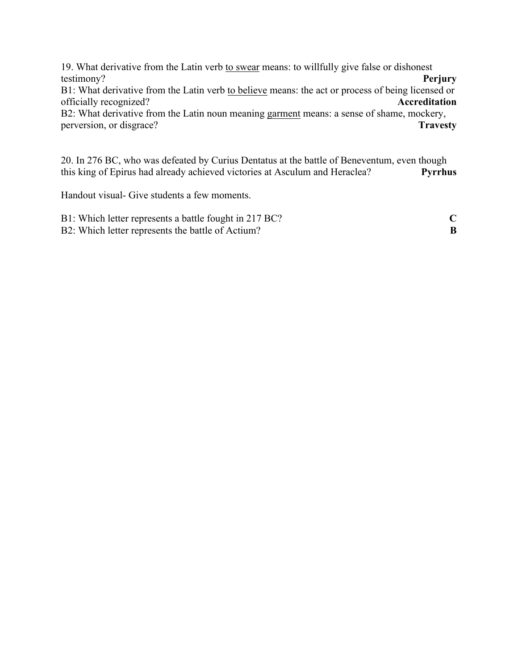19. What derivative from the Latin verb to swear means: to willfully give false or dishonest testimony? **Perjury**

B1: What derivative from the Latin verb to believe means: the act or process of being licensed or officially recognized? **Accreditation**

B2: What derivative from the Latin noun meaning garment means: a sense of shame, mockery, perversion, or disgrace? **Travesty**

20. In 276 BC, who was defeated by Curius Dentatus at the battle of Beneventum, even though this king of Epirus had already achieved victories at Asculum and Heraclea? **Pyrrhus**

Handout visual- Give students a few moments.

| B1: Which letter represents a battle fought in 217 BC? |  |
|--------------------------------------------------------|--|
| B2: Which letter represents the battle of Actium?      |  |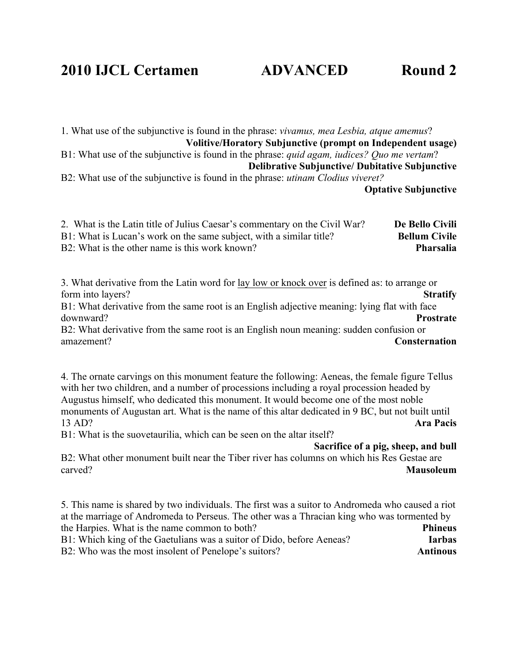### **2010 IJCL Certamen ADVANCED Round 2**

1. What use of the subjunctive is found in the phrase: *vivamus, mea Lesbia, atque amemus*? **Volitive/Horatory Subjunctive (prompt on Independent usage)** B1: What use of the subjunctive is found in the phrase: *quid agam, iudices? Quo me vertam*?

**Delibrative Subjunctive/ Dubitative Subjunctive**

B2: What use of the subjunctive is found in the phrase: *utinam Clodius viveret?* **Optative Subjunctive**

| 2. What is the Latin title of Julius Caesar's commentary on the Civil War? | De Bello Civili      |
|----------------------------------------------------------------------------|----------------------|
| B1: What is Lucan's work on the same subject, with a similar title?        | <b>Bellum Civile</b> |
| B2: What is the other name is this work known?                             | Pharsalia            |

3. What derivative from the Latin word for lay low or knock over is defined as: to arrange or form into layers? **Stratify**

B1: What derivative from the same root is an English adjective meaning: lying flat with face downward? **Prostrate**

B2: What derivative from the same root is an English noun meaning: sudden confusion or amazement? **Consternation**

4. The ornate carvings on this monument feature the following: Aeneas, the female figure Tellus with her two children, and a number of processions including a royal procession headed by Augustus himself, who dedicated this monument. It would become one of the most noble monuments of Augustan art. What is the name of this altar dedicated in 9 BC, but not built until 13 AD? **Ara Pacis**

B1: What is the suovetaurilia, which can be seen on the altar itself?

**Sacrifice of a pig, sheep, and bull**

B2: What other monument built near the Tiber river has columns on which his Res Gestae are carved? **Mausoleum**

5. This name is shared by two individuals. The first was a suitor to Andromeda who caused a riot at the marriage of Andromeda to Perseus. The other was a Thracian king who was tormented by the Harpies. What is the name common to both? **Phineus** B1: Which king of the Gaetulians was a suitor of Dido, before Aeneas? **Iarbas** B2: Who was the most insolent of Penelope's suitors? **Antinous**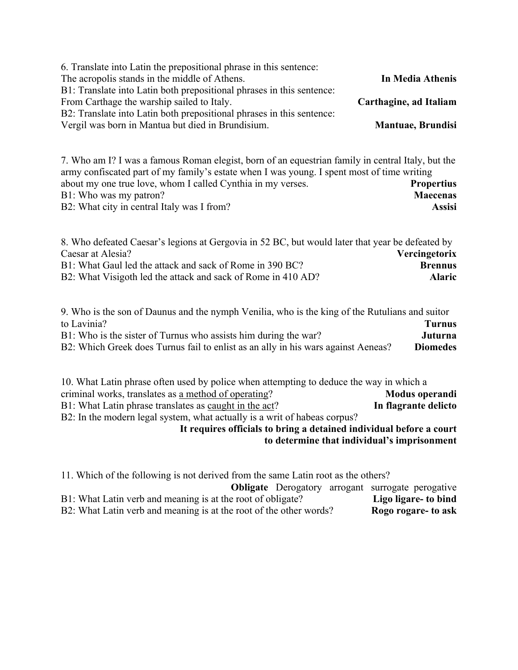| 6. Translate into Latin the prepositional phrase in this sentence:    |                          |
|-----------------------------------------------------------------------|--------------------------|
| The acropolis stands in the middle of Athens.                         | In Media Athenis         |
| B1: Translate into Latin both prepositional phrases in this sentence: |                          |
| From Carthage the warship sailed to Italy.                            | Carthagine, ad Italiam   |
| B2: Translate into Latin both prepositional phrases in this sentence: |                          |
| Vergil was born in Mantua but died in Brundisium.                     | <b>Mantuae, Brundisi</b> |

7. Who am I? I was a famous Roman elegist, born of an equestrian family in central Italy, but the army confiscated part of my family's estate when I was young. I spent most of time writing about my one true love, whom I called Cynthia in my verses. **Propertius** B1: Who was my patron? **Maecenas** B2: What city in central Italy was I from? **Assisi**

| 8. Who defeated Caesar's legions at Gergovia in 52 BC, but would later that year be defeated by |                |
|-------------------------------------------------------------------------------------------------|----------------|
| Caesar at Alesia?                                                                               | Vercingetorix  |
| B1: What Gaul led the attack and sack of Rome in 390 BC?                                        | <b>Brennus</b> |
| B2: What Visigoth led the attack and sack of Rome in 410 AD?                                    | <b>Alaric</b>  |

9. Who is the son of Daunus and the nymph Venilia, who is the king of the Rutulians and suitor to Lavinia? **Turnus** B1: Who is the sister of Turnus who assists him during the war? **Juturna** B2: Which Greek does Turnus fail to enlist as an ally in his wars against Aeneas? **Diomedes**

10. What Latin phrase often used by police when attempting to deduce the way in which a criminal works, translates as a method of operating? **Modus operandi** B1: What Latin phrase translates as caught in the act? **In flagrante delicto** B2: In the modern legal system, what actually is a writ of habeas corpus? **It requires officials to bring a detained individual before a court** 

**to determine that individual's imprisonment**

| 11. Which of the following is not derived from the same Latin root as the others? |  |  |                      |
|-----------------------------------------------------------------------------------|--|--|----------------------|
| <b>Obligate</b> Derogatory arrogant surrogate perogative                          |  |  |                      |
| B1: What Latin verb and meaning is at the root of obligate?                       |  |  | Ligo ligare- to bind |
| B2: What Latin verb and meaning is at the root of the other words?                |  |  | Rogo rogare- to ask  |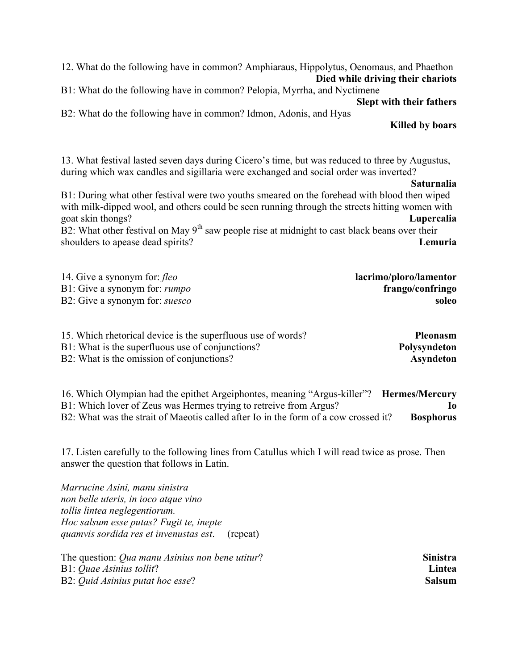12. What do the following have in common? Amphiaraus, Hippolytus, Oenomaus, and Phaethon **Died while driving their chariots**

B1: What do the following have in common? Pelopia, Myrrha, and Nyctimene

**Slept with their fathers**

B2: What do the following have in common? Idmon, Adonis, and Hyas

**Killed by boars**

13. What festival lasted seven days during Cicero's time, but was reduced to three by Augustus, during which wax candles and sigillaria were exchanged and social order was inverted?

#### **Saturnalia**

B1: During what other festival were two youths smeared on the forehead with blood then wiped with milk-dipped wool, and others could be seen running through the streets hitting women with goat skin thongs? **Lupercalia**

 $B2$ : What other festival on May 9<sup>th</sup> saw people rise at midnight to cast black beans over their shoulders to apease dead spirits? **Lemuria**

| 14. Give a synonym for: fleo          | lacrimo/ploro/lamentor |
|---------------------------------------|------------------------|
| B1: Give a synonym for: <i>rumpo</i>  | frango/confringo       |
| B2: Give a synonym for: <i>suesco</i> | soleo                  |
|                                       |                        |

| 15. Which rhetorical device is the superfluous use of words? | <b>Pleonasm</b> |
|--------------------------------------------------------------|-----------------|
| B1: What is the superfluous use of conjunctions?             | Polysyndeton    |
| B2: What is the omission of conjunctions?                    | Asyndeton       |

16. Which Olympian had the epithet Argeiphontes, meaning "Argus-killer"? **Hermes/Mercury** B1: Which lover of Zeus was Hermes trying to retreive from Argus? **Io** B2: What was the strait of Maeotis called after Io in the form of a cow crossed it? **Bosphorus** 

17. Listen carefully to the following lines from Catullus which I will read twice as prose. Then answer the question that follows in Latin.

*Marrucine Asini, manu sinistra non belle uteris, in ioco atque vino tollis lintea neglegentiorum. Hoc salsum esse putas? Fugit te, inepte quamvis sordida res et invenustas est*. (repeat)

| The question: <i>Qua manu Asinius non bene utitur</i> ? | <b>Sinistra</b> |
|---------------------------------------------------------|-----------------|
| B1: Quae Asinius tollit?                                | Lintea          |
| B2: <i>Ouid Asinius putat hoc esse</i> ?                | <b>Salsum</b>   |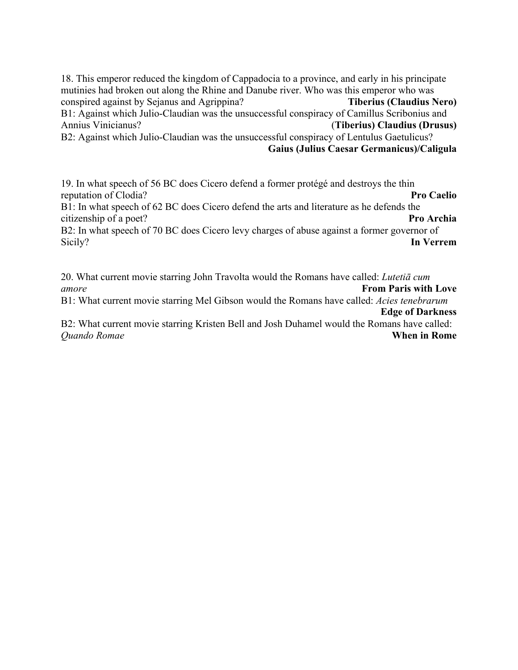18. This emperor reduced the kingdom of Cappadocia to a province, and early in his principate mutinies had broken out along the Rhine and Danube river. Who was this emperor who was conspired against by Sejanus and Agrippina? **Tiberius (Claudius Nero)** B1: Against which Julio-Claudian was the unsuccessful conspiracy of Camillus Scribonius and Annius Vinicianus? (**Tiberius) Claudius (Drusus)** B2: Against which Julio-Claudian was the unsuccessful conspiracy of Lentulus Gaetulicus? **Gaius (Julius Caesar Germanicus)/Caligula**

19. In what speech of 56 BC does Cicero defend a former protégé and destroys the thin reputation of Clodia? **Pro Caelio** B1: In what speech of 62 BC does Cicero defend the arts and literature as he defends the citizenship of a poet? **Pro Archia** B2: In what speech of 70 BC does Cicero levy charges of abuse against a former governor of Sicily? **In Verrem**

20. What current movie starring John Travolta would the Romans have called: *Lutetiā cum amore* **From Paris with Love**

B1: What current movie starring Mel Gibson would the Romans have called: *Acies tenebrarum* **Edge of Darkness**

B2: What current movie starring Kristen Bell and Josh Duhamel would the Romans have called: *Quando Romae* **When in Rome**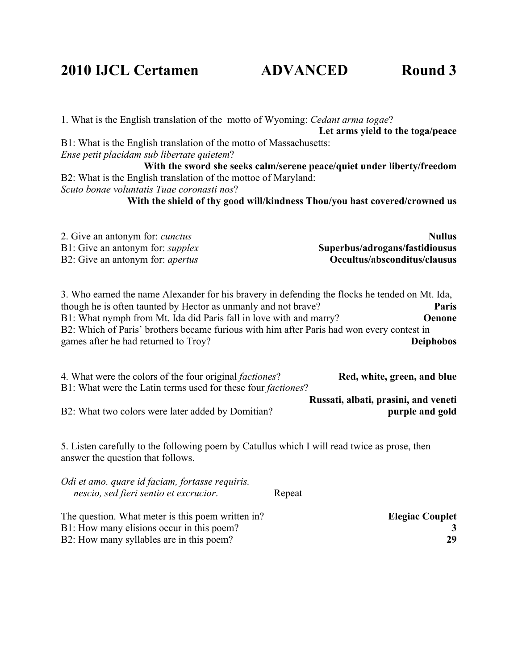### **2010 IJCL Certamen ADVANCED Round 3**

1. What is the English translation of the motto of Wyoming: *Cedant arma togae*? **Let arms yield to the toga/peace** B1: What is the English translation of the motto of Massachusetts: *Ense petit placidam sub libertate quietem*? **With the sword she seeks calm/serene peace/quiet under liberty/freedom** B2: What is the English translation of the mottoe of Maryland: *Scuto bonae voluntatis Tuae coronasti nos*? **With the shield of thy good will/kindness Thou/you hast covered/crowned us** 2. Give an antonym for: *cunctus* **Nullus** B1: Give an antonym for: *supplex* **Superbus/adrogans/fastidiousus** B2: Give an antonym for: *apertus* **Occultus/absconditus/clausus** 3. Who earned the name Alexander for his bravery in defending the flocks he tended on Mt. Ida, though he is often taunted by Hector as unmanly and not brave? **Paris** B1: What nymph from Mt. Ida did Paris fall in love with and marry? **Oenone** B2: Which of Paris' brothers became furious with him after Paris had won every contest in games after he had returned to Troy? **Deiphobos** 4. What were the colors of the four original *factiones*? **Red, white, green, and blue** B1: What were the Latin terms used for these four *factiones*? **Russati, albati, prasini, and veneti** B2: What two colors were later added by Domitian? **purple and gold** 5. Listen carefully to the following poem by Catullus which I will read twice as prose, then answer the question that follows. *Odi et amo. quare id faciam, fortasse requiris.*

| nescio, sed fieri sentio et excrucior.            | Repeat                 |    |
|---------------------------------------------------|------------------------|----|
| The question. What meter is this poem written in? | <b>Elegiac Couplet</b> |    |
| B1: How many elisions occur in this poem?         |                        |    |
| B2: How many syllables are in this poem?          |                        | 29 |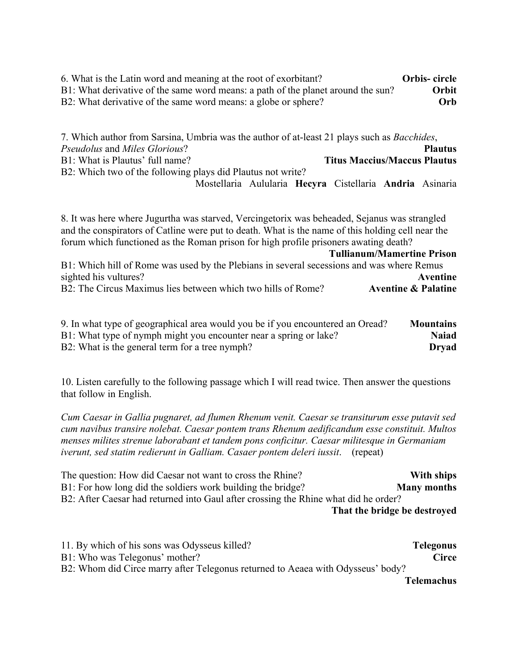| 6. What is the Latin word and meaning at the root of exorbitant?                 | Orbis-circle |
|----------------------------------------------------------------------------------|--------------|
| B1: What derivative of the same word means: a path of the planet around the sun? | Orbit        |
| B2: What derivative of the same word means: a globe or sphere?                   | <b>Orb</b>   |

7. Which author from Sarsina, Umbria was the author of at-least 21 plays such as *Bacchides*, *Pseudolus* and *Miles Glorious*? **Plautus** B1: What is Plautus' full name? **Titus Maccius/Maccus Plautus** B2: Which two of the following plays did Plautus not write? Mostellaria Aulularia **Hecyra** Cistellaria **Andria** Asinaria

8. It was here where Jugurtha was starved, Vercingetorix was beheaded, Sejanus was strangled and the conspirators of Catline were put to death. What is the name of this holding cell near the forum which functioned as the Roman prison for high profile prisoners awating death?

**Tullianum/Mamertine Prison**

| B1: Which hill of Rome was used by the Plebians in several secessions and was where Remus |                                |
|-------------------------------------------------------------------------------------------|--------------------------------|
| sighted his vultures?                                                                     | Aventine                       |
| B2: The Circus Maximus lies between which two hills of Rome?                              | <b>Aventine &amp; Palatine</b> |

| 9. In what type of geographical area would you be if you encountered an Oread? | <b>Mountains</b> |
|--------------------------------------------------------------------------------|------------------|
| B1: What type of nymph might you encounter near a spring or lake?              | <b>Naiad</b>     |
| B2: What is the general term for a tree nymph?                                 | <b>Dryad</b>     |

10. Listen carefully to the following passage which I will read twice. Then answer the questions that follow in English.

*Cum Caesar in Gallia pugnaret, ad flumen Rhenum venit. Caesar se transiturum esse putavit sed cum navibus transire nolebat. Caesar pontem trans Rhenum aedificandum esse constituit. Multos menses milites strenue laborabant et tandem pons conficitur. Caesar militesque in Germaniam iverunt, sed statim redierunt in Galliam. Casaer pontem deleri iussit*. (repeat)

The question: How did Caesar not want to cross the Rhine? **With ships** B1: For how long did the soldiers work building the bridge? **Many months** B2: After Caesar had returned into Gaul after crossing the Rhine what did he order? **That the bridge be destroyed**

| 11. By which of his sons was Odysseus killed?                                   | Telegonus         |
|---------------------------------------------------------------------------------|-------------------|
| B1: Who was Telegonus' mother?                                                  | <b>Circe</b>      |
| B2: Whom did Circe marry after Telegonus returned to Aeaea with Odysseus' body? |                   |
|                                                                                 | <b>Telemachus</b> |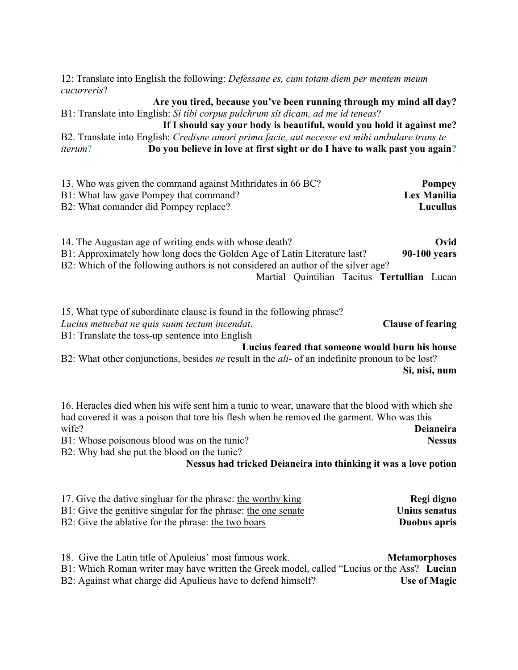12: Translate into English the following: *Defessane es, cum totam diem per mentem meum cucurreris*?

**Are you tired, because you've been running through my mind all day?** B1: Translate into English: *Si tibi corpus pulchrum sit dicam, ad me id teneas*?

**If I should say your body is beautiful, would you hold it against me?** B2. Translate into English: *Credisne amori prima facie, aut necesse est mihi ambulare trans te* 

*iterum*? **Do you believe in love at first sight or do I have to walk past you again?**

| 13. Who was given the command against Mithridates in 66 BC? | Pompey          |
|-------------------------------------------------------------|-----------------|
| B1: What law gave Pompey that command?                      | Lex Manilia     |
| B2: What comander did Pompey replace?                       | <b>Lucullus</b> |

14. The Augustan age of writing ends with whose death? **Ovid** B1: Approximately how long does the Golden Age of Latin Literature last? **90-100 years** B2: Which of the following authors is not considered an author of the silver age?

Martial Quintilian Tacitus **Tertullian** Lucan

| 15. What type of subordinate clause is found in the following phrase? |                          |
|-----------------------------------------------------------------------|--------------------------|
| Lucius metuebat ne quis suum tectum incendat.                         | <b>Clause of fearing</b> |
| B1: Translate the toss-up sentence into English                       |                          |
| Lucius feared that someone would burn his house                       |                          |

B2: What other conjunctions, besides *ne* result in the *ali*- of an indefinite pronoun to be lost? **Si, nisi, num**

16. Heracles died when his wife sent him a tunic to wear, unaware that the blood with which she had covered it was a poison that tore his flesh when he removed the garment. Who was this wife? **Deianeira** B1: Whose poisonous blood was on the tunic? **Nessus**

B2: Why had she put the blood on the tunic?

#### **Nessus had tricked Deianeira into thinking it was a love potion**

| 17. Give the dative singluar for the phrase: the worthy king  | Regi digno    |
|---------------------------------------------------------------|---------------|
| B1: Give the genitive singular for the phrase: the one senate | Unius senatus |
| B2: Give the ablative for the phrase: the two boars           | Duobus apris  |

18. Give the Latin title of Apuleius' most famous work. **Metamorphoses** B1: Which Roman writer may have written the Greek model, called "Lucius or the Ass? **Lucian** B2: Against what charge did Apulieus have to defend himself? **Use of Magic**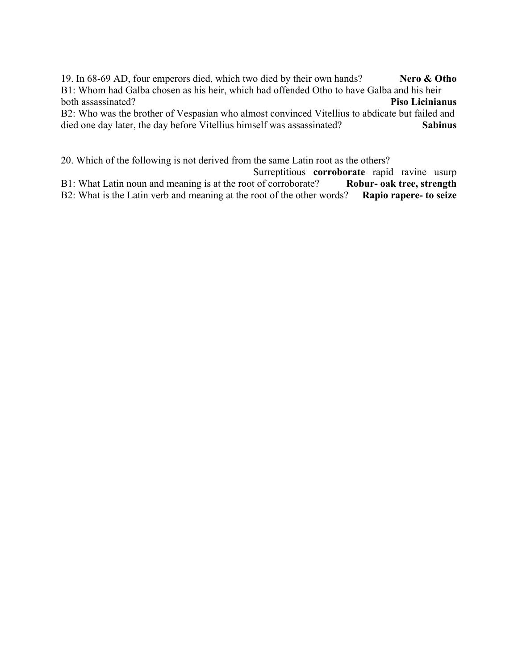19. In 68-69 AD, four emperors died, which two died by their own hands? **Nero & Otho** B1: Whom had Galba chosen as his heir, which had offended Otho to have Galba and his heir both assassinated? **Piso Licinianus** B2: Who was the brother of Vespasian who almost convinced Vitellius to abdicate but failed and died one day later, the day before Vitellius himself was assassinated? **Sabinus**

20. Which of the following is not derived from the same Latin root as the others? Surreptitious **corroborate** rapid ravine usurp<br>t of corroborate? **Robur- oak tree, strength** B1: What Latin noun and meaning is at the root of corroborate? B2: What is the Latin verb and meaning at the root of the other words? **Rapio rapere- to seize**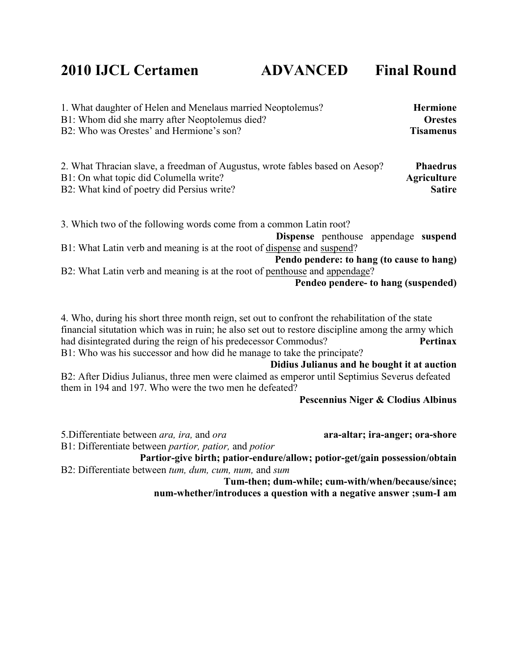### **2010 IJCL Certamen ADVANCED Final Round**

| 1. What daughter of Helen and Menelaus married Neoptolemus? | <b>Hermione</b>  |
|-------------------------------------------------------------|------------------|
| B1: Whom did she marry after Neoptolemus died?              | <b>Orestes</b>   |
| B2: Who was Orestes' and Hermione's son?                    | <b>Tisamenus</b> |
|                                                             |                  |

| 2. What Thracian slave, a freedman of Augustus, wrote fables based on Aesop? | <b>Phaedrus</b>    |
|------------------------------------------------------------------------------|--------------------|
| B1: On what topic did Columella write?                                       | <b>Agriculture</b> |
| B2: What kind of poetry did Persius write?                                   | <b>Satire</b>      |

3. Which two of the following words come from a common Latin root? **Dispense** penthouse appendage **suspend** B1: What Latin verb and meaning is at the root of dispense and suspend? **Pendo pendere: to hang (to cause to hang)** B2: What Latin verb and meaning is at the root of penthouse and appendage?

**Pendeo pendere- to hang (suspended)**

4. Who, during his short three month reign, set out to confront the rehabilitation of the state financial situtation which was in ruin; he also set out to restore discipline among the army which had disintegrated during the reign of his predecessor Commodus? **Pertinax** B1: Who was his successor and how did he manage to take the principate? **Didius Julianus and he bought it at auction**

B2: After Didius Julianus, three men were claimed as emperor until Septimius Severus defeated them in 194 and 197. Who were the two men he defeated?

**Pescennius Niger & Clodius Albinus**

5.Differentiate between *ara, ira,* and *ora* **ara-altar; ira-anger; ora-shore** B1: Differentiate between *partior, patior,* and *potior*

**Partior-give birth; patior-endure/allow; potior-get/gain possession/obtain** B2: Differentiate between *tum, dum, cum, num,* and *sum*

**Tum-then; dum-while; cum-with/when/because/since; num-whether/introduces a question with a negative answer ;sum-I am**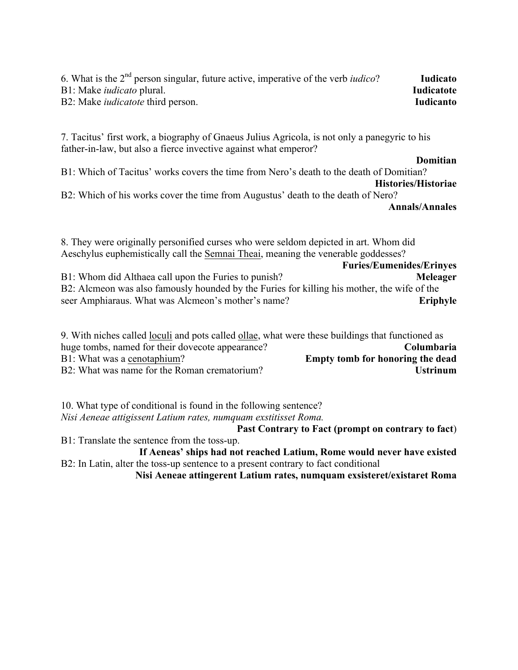| 6. What is the $2^{nd}$ person singular, future active, imperative of the verb <i>iudico</i> ? | <b>Iudicato</b>   |
|------------------------------------------------------------------------------------------------|-------------------|
| B1: Make <i>iudicato</i> plural.                                                               | <b>Iudicatote</b> |
| B2: Make <i>iudicatote</i> third person.                                                       | <b>Iudicanto</b>  |

7. Tacitus' first work, a biography of Gnaeus Julius Agricola, is not only a panegyric to his father-in-law, but also a fierce invective against what emperor?

**Domitian**

B1: Which of Tacitus' works covers the time from Nero's death to the death of Domitian?

#### **Histories/Historiae**

B2: Which of his works cover the time from Augustus' death to the death of Nero?

#### **Annals/Annales**

8. They were originally personified curses who were seldom depicted in art. Whom did Aeschylus euphemistically call the Semnai Theai, meaning the venerable goddesses?

**Furies/Eumenides/Erinyes** B1: Whom did Althaea call upon the Furies to punish? **Meleager** B2: Alcmeon was also famously hounded by the Furies for killing his mother, the wife of the seer Amphiaraus. What was Alcmeon's mother's name? **Eriphyle**

| 9. With niches called loculi and pots called ollae, what were these buildings that functioned as |                                  |
|--------------------------------------------------------------------------------------------------|----------------------------------|
| huge tombs, named for their dovecote appearance?                                                 | Columbaria                       |
| B1: What was a cenotaphium?                                                                      | Empty tomb for honoring the dead |
| B2: What was name for the Roman crematorium?                                                     | <b>Ustrinum</b>                  |

10. What type of conditional is found in the following sentence? *Nisi Aeneae attigissent Latium rates, numquam exstitisset Roma.*

**Past Contrary to Fact (prompt on contrary to fact**)

B1: Translate the sentence from the toss-up.

**If Aeneas' ships had not reached Latium, Rome would never have existed** B2: In Latin, alter the toss-up sentence to a present contrary to fact conditional

**Nisi Aeneae attingerent Latium rates, numquam exsisteret/existaret Roma**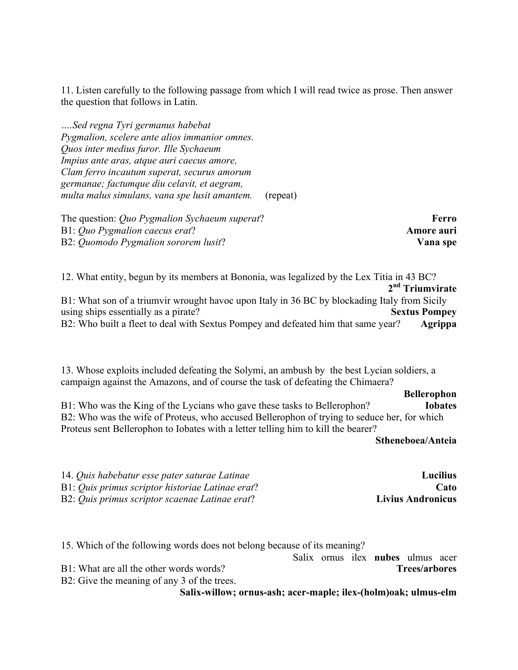11. Listen carefully to the following passage from which I will read twice as prose. Then answer the question that follows in Latin.

*….Sed regna Tyri germanus habebat Pygmalion, scelere ante alios immanior omnes. Quos inter medius furor. Ille Sychaeum Impius ante aras, atque auri caecus amore, Clam ferro incautum superat, securus amorum germanae; factumque diu celavit, et aegram, multa malus simulans, vana spe lusit amantem.* (repeat)

The question: *Quo Pygmalion Sychaeum superat*? **Ferro** B1: *Quo Pygmalion caecus erat*? **Amore auri** B2: *Quomodo Pygmalion sororem lusit*? **Vana spe**

12. What entity, begun by its members at Bononia, was legalized by the Lex Titia in 43 BC? **2nd Triumvirate** B1: What son of a triumvir wrought havoc upon Italy in 36 BC by blockading Italy from Sicily using ships essentially as a pirate? **Sextus Pompey** B2: Who built a fleet to deal with Sextus Pompey and defeated him that same year? **Agrippa** 

13. Whose exploits included defeating the Solymi, an ambush by the best Lycian soldiers, a campaign against the Amazons, and of course the task of defeating the Chimaera?

**Bellerophon** B1: Who was the King of the Lycians who gave these tasks to Bellerophon? **Iobates** B2: Who was the wife of Proteus, who accused Bellerophon of trying to seduce her, for which Proteus sent Bellerophon to Iobates with a letter telling him to kill the bearer?

**Stheneboea/Anteia**

| 14. Quis habebatur esse pater saturae Latinae    | <b>Lucilius</b>          |
|--------------------------------------------------|--------------------------|
| B1: Quis primus scriptor historiae Latinae erat? | Cato                     |
| B2: Quis primus scriptor scaenae Latinae erat?   | <b>Livius Andronicus</b> |

15. Which of the following words does not belong because of its meaning?

Salix ornus ilex **nubes** ulmus acer B1: What are all the other words words? **Trees/arbores**

B2: Give the meaning of any 3 of the trees.

**Salix-willow; ornus-ash; acer-maple; ilex-(holm)oak; ulmus-elm**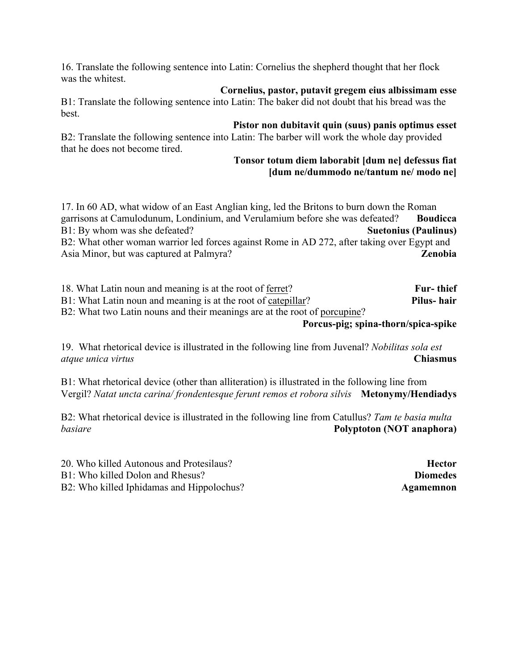16. Translate the following sentence into Latin: Cornelius the shepherd thought that her flock was the whitest.

**Cornelius, pastor, putavit gregem eius albissimam esse** B1: Translate the following sentence into Latin: The baker did not doubt that his bread was the best.

#### **Pistor non dubitavit quin (suus) panis optimus esset**

B2: Translate the following sentence into Latin: The barber will work the whole day provided that he does not become tired.

#### **Tonsor totum diem laborabit [dum ne] defessus fiat [dum ne/dummodo ne/tantum ne/ modo ne]**

17. In 60 AD, what widow of an East Anglian king, led the Britons to burn down the Roman garrisons at Camulodunum, Londinium, and Verulamium before she was defeated? **Boudicca** B1: By whom was she defeated? **Suetonius (Paulinus)** B2: What other woman warrior led forces against Rome in AD 272, after taking over Egypt and Asia Minor, but was captured at Palmyra? **Zenobia**

18. What Latin noun and meaning is at the root of ferret? **Fur- thief** B1: What Latin noun and meaning is at the root of catepillar? **Pilus- hair** B2: What two Latin nouns and their meanings are at the root of porcupine?

#### **Porcus-pig; spina-thorn/spica-spike**

19. What rhetorical device is illustrated in the following line from Juvenal? *Nobilitas sola est atque unica virtus* **Chiasmus**

B1: What rhetorical device (other than alliteration) is illustrated in the following line from Vergil? *Natat uncta carina/ frondentesque ferunt remos et robora silvis* **Metonymy/Hendiadys**

B2: What rhetorical device is illustrated in the following line from Catullus? *Tam te basia multa basiare* **Polyptoton (NOT anaphora)**

20. Who killed Autonous and Protesilaus? **Hector**

B1: Who killed Dolon and Rhesus? **Diomedes**

B2: Who killed Iphidamas and Hippolochus? **Agamemnon**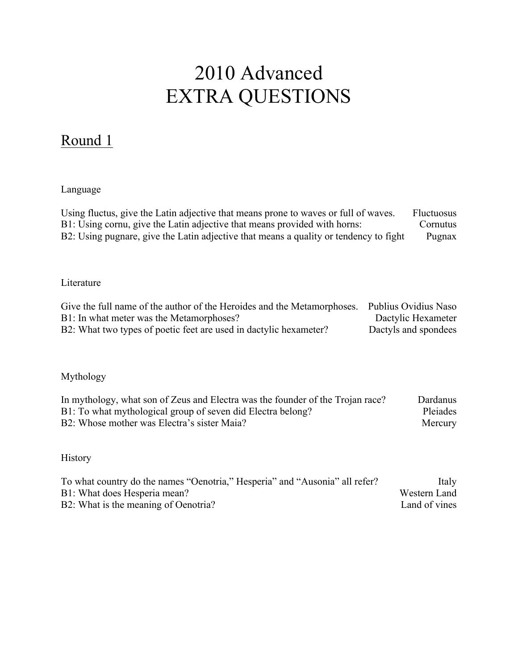# 2010 Advanced EXTRA QUESTIONS

## Round 1

### Language

| Using fluctus, give the Latin adjective that means prone to waves or full of waves.   | <b>Fluctuosus</b> |
|---------------------------------------------------------------------------------------|-------------------|
| B1: Using cornu, give the Latin adjective that means provided with horns:             | Cornutus          |
| B2: Using pugnare, give the Latin adjective that means a quality or tendency to fight | Pugnax            |

### Literature

| Give the full name of the author of the Heroides and the Metamorphoses. | Publius Ovidius Naso |
|-------------------------------------------------------------------------|----------------------|
| B1: In what meter was the Metamorphoses?                                | Dactylic Hexameter   |
| B2: What two types of poetic feet are used in dactylic hexameter?       | Dactyls and spondees |

### Mythology

| In mythology, what son of Zeus and Electra was the founder of the Trojan race? | Dardanus |
|--------------------------------------------------------------------------------|----------|
| B1: To what mythological group of seven did Electra belong?                    | Pleiades |
| B2: Whose mother was Electra's sister Maia?                                    | Mercury  |

### History

| To what country do the names "Oenotria," Hesperia" and "Ausonia" all refer? | Italy         |
|-----------------------------------------------------------------------------|---------------|
| B1: What does Hesperia mean?                                                | Western Land  |
| B2: What is the meaning of Oenotria?                                        | Land of vines |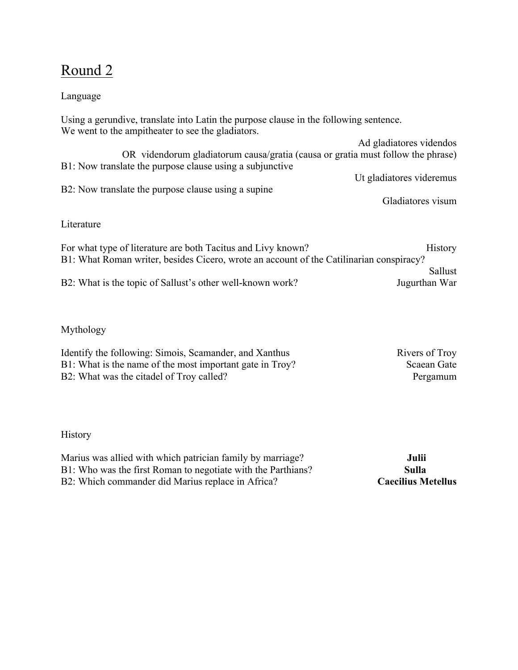### Round 2

### Language

Using a gerundive, translate into Latin the purpose clause in the following sentence. We went to the ampitheater to see the gladiators.

Ad gladiatores videndos OR videndorum gladiatorum causa/gratia (causa or gratia must follow the phrase) B1: Now translate the purpose clause using a subjunctive Ut gladiatores videremus B2: Now translate the purpose clause using a supine Gladiatores visum

Literature

For what type of literature are both Tacitus and Livy known? History B1: What Roman writer, besides Cicero, wrote an account of the Catilinarian conspiracy? Sallust B2: What is the topic of Sallust's other well-known work? Jugurthan War

Mythology

Identify the following: Simois, Scamander, and Xanthus Rivers of Troy B1: What is the name of the most important gate in Troy? Scaean Gate B2: What was the citadel of Troy called? Pergamum

### **History**

Marius was allied with which patrician family by marriage? **Julii** B1: Who was the first Roman to negotiate with the Parthians? **Sulla** B2: Which commander did Marius replace in Africa? **Caecilius Metellus**